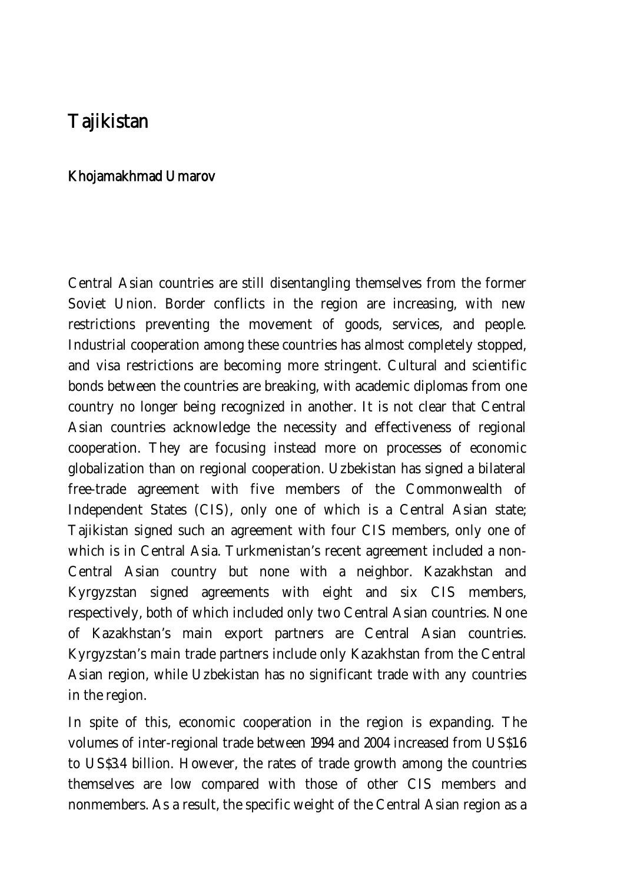# Tajikistan

#### Khojamakhmad Umarov

Central Asian countries are still disentangling themselves from the former Soviet Union. Border conflicts in the region are increasing, with new restrictions preventing the movement of goods, services, and people. Industrial cooperation among these countries has almost completely stopped, and visa restrictions are becoming more stringent. Cultural and scientific bonds between the countries are breaking, with academic diplomas from one country no longer being recognized in another. It is not clear that Central Asian countries acknowledge the necessity and effectiveness of regional cooperation. They are focusing instead more on processes of economic globalization than on regional cooperation. Uzbekistan has signed a bilateral free-trade agreement with five members of the Commonwealth of Independent States (CIS), only one of which is a Central Asian state; Tajikistan signed such an agreement with four CIS members, only one of which is in Central Asia. Turkmenistan's recent agreement included a non-Central Asian country but none with a neighbor. Kazakhstan and Kyrgyzstan signed agreements with eight and six CIS members, respectively, both of which included only two Central Asian countries. None of Kazakhstan's main export partners are Central Asian countries. Kyrgyzstan's main trade partners include only Kazakhstan from the Central Asian region, while Uzbekistan has no significant trade with any countries in the region.

In spite of this, economic cooperation in the region is expanding. The volumes of inter-regional trade between 1994 and 2004 increased from US\$1.6 to US\$3.4 billion. However, the rates of trade growth among the countries themselves are low compared with those of other CIS members and nonmembers. As a result, the specific weight of the Central Asian region as a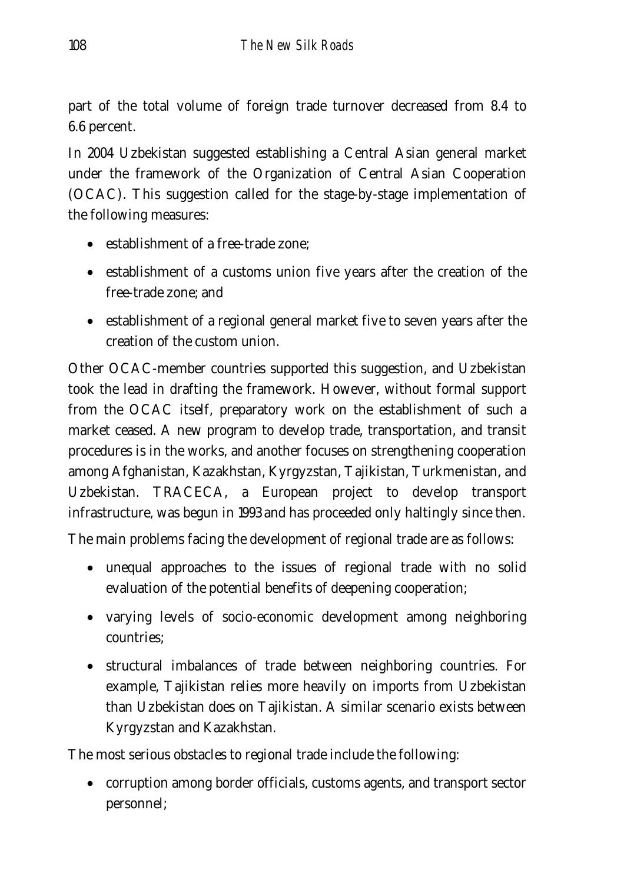part of the total volume of foreign trade turnover decreased from 8.4 to 6.6 percent.

In 2004 Uzbekistan suggested establishing a Central Asian general market under the framework of the Organization of Central Asian Cooperation (OCAC). This suggestion called for the stage-by-stage implementation of the following measures:

- establishment of a free-trade zone:
- establishment of a customs union five years after the creation of the free-trade zone; and
- establishment of a regional general market five to seven years after the creation of the custom union.

Other OCAC-member countries supported this suggestion, and Uzbekistan took the lead in drafting the framework. However, without formal support from the OCAC itself, preparatory work on the establishment of such a market ceased. A new program to develop trade, transportation, and transit procedures is in the works, and another focuses on strengthening cooperation among Afghanistan, Kazakhstan, Kyrgyzstan, Tajikistan, Turkmenistan, and Uzbekistan. TRACECA, a European project to develop transport infrastructure, was begun in 1993 and has proceeded only haltingly since then.

The main problems facing the development of regional trade are as follows:

- unequal approaches to the issues of regional trade with no solid evaluation of the potential benefits of deepening cooperation;
- varying levels of socio-economic development among neighboring countries;
- structural imbalances of trade between neighboring countries. For example, Tajikistan relies more heavily on imports from Uzbekistan than Uzbekistan does on Tajikistan. A similar scenario exists between Kyrgyzstan and Kazakhstan.

The most serious obstacles to regional trade include the following:

• corruption among border officials, customs agents, and transport sector personnel;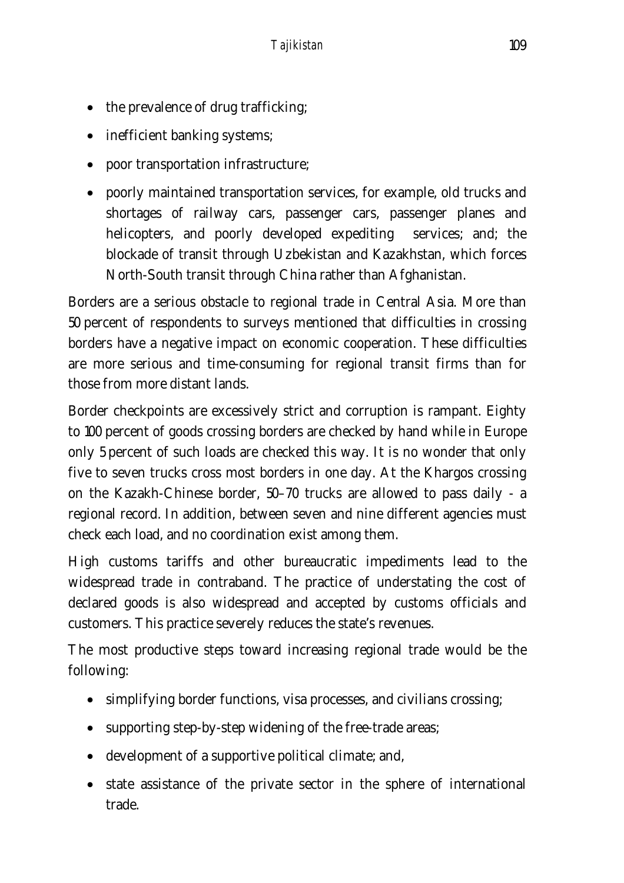- the prevalence of drug trafficking;
- inefficient banking systems;
- poor transportation infrastructure;
- poorly maintained transportation services, for example, old trucks and shortages of railway cars, passenger cars, passenger planes and helicopters, and poorly developed expediting services; and; the blockade of transit through Uzbekistan and Kazakhstan, which forces North-South transit through China rather than Afghanistan.

Borders are a serious obstacle to regional trade in Central Asia. More than 50 percent of respondents to surveys mentioned that difficulties in crossing borders have a negative impact on economic cooperation. These difficulties are more serious and time-consuming for regional transit firms than for those from more distant lands.

Border checkpoints are excessively strict and corruption is rampant. Eighty to 100 percent of goods crossing borders are checked by hand while in Europe only 5 percent of such loads are checked this way. It is no wonder that only five to seven trucks cross most borders in one day. At the Khargos crossing on the Kazakh-Chinese border, 50–70 trucks are allowed to pass daily - a regional record. In addition, between seven and nine different agencies must check each load, and no coordination exist among them.

High customs tariffs and other bureaucratic impediments lead to the widespread trade in contraband. The practice of understating the cost of declared goods is also widespread and accepted by customs officials and customers. This practice severely reduces the state's revenues.

The most productive steps toward increasing regional trade would be the following:

- simplifying border functions, visa processes, and civilians crossing;
- supporting step-by-step widening of the free-trade areas;
- development of a supportive political climate; and,
- state assistance of the private sector in the sphere of international trade.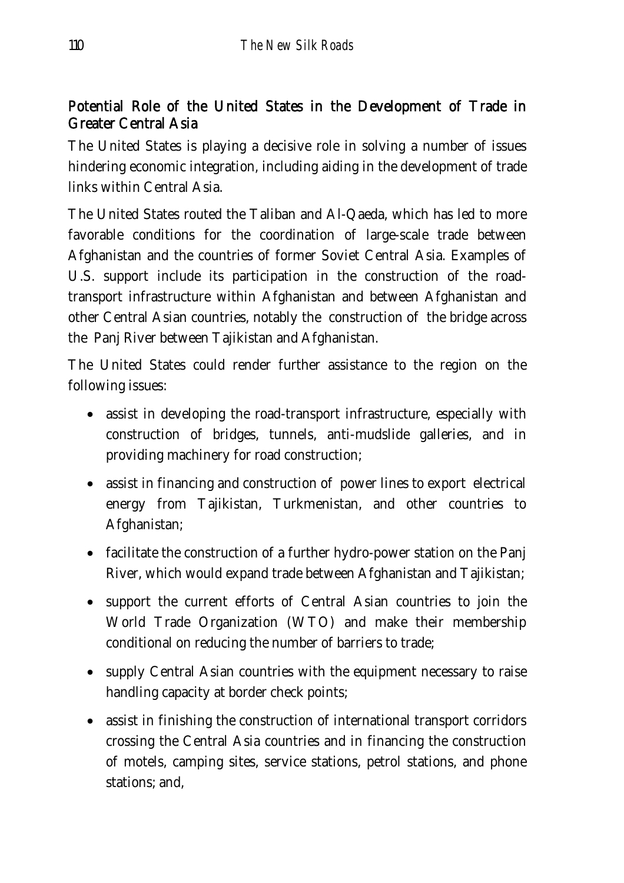### Potential Role of the United States in the Development of Trade in Greater Central Asia

The United States is playing a decisive role in solving a number of issues hindering economic integration, including aiding in the development of trade links within Central Asia.

The United States routed the Taliban and Al-Qaeda, which has led to more favorable conditions for the coordination of large-scale trade between Afghanistan and the countries of former Soviet Central Asia. Examples of U.S. support include its participation in the construction of the roadtransport infrastructure within Afghanistan and between Afghanistan and other Central Asian countries, notably the construction of the bridge across the Panj River between Tajikistan and Afghanistan.

The United States could render further assistance to the region on the following issues:

- assist in developing the road-transport infrastructure, especially with construction of bridges, tunnels, anti-mudslide galleries, and in providing machinery for road construction;
- assist in financing and construction of power lines to export electrical energy from Tajikistan, Turkmenistan, and other countries to Afghanistan;
- facilitate the construction of a further hydro-power station on the Panj River, which would expand trade between Afghanistan and Tajikistan;
- support the current efforts of Central Asian countries to join the World Trade Organization (WTO) and make their membership conditional on reducing the number of barriers to trade;
- supply Central Asian countries with the equipment necessary to raise handling capacity at border check points;
- assist in finishing the construction of international transport corridors crossing the Central Asia countries and in financing the construction of motels, camping sites, service stations, petrol stations, and phone stations; and,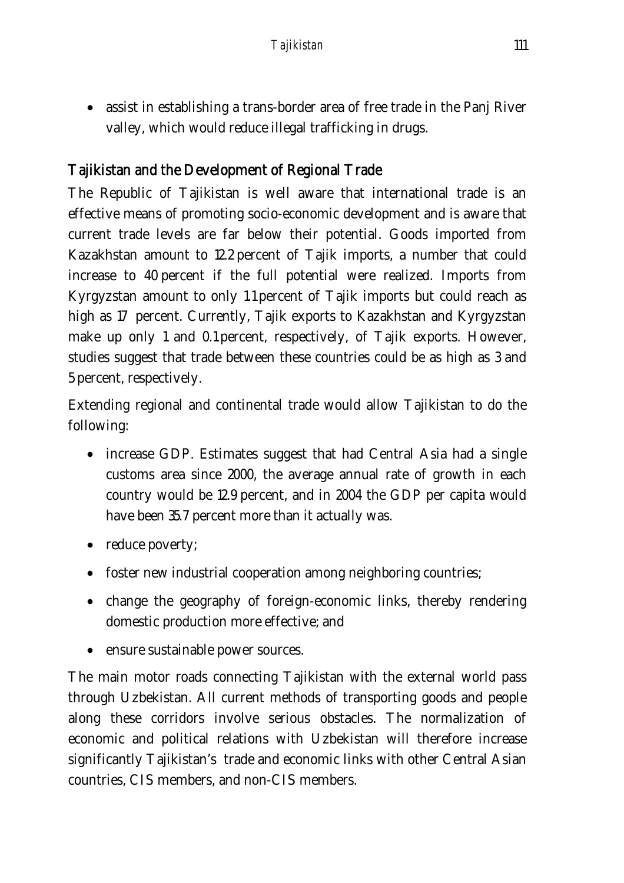• assist in establishing a trans-border area of free trade in the Panj River valley, which would reduce illegal trafficking in drugs.

## Tajikistan and the Development of Regional Trade

The Republic of Tajikistan is well aware that international trade is an effective means of promoting socio-economic development and is aware that current trade levels are far below their potential. Goods imported from Kazakhstan amount to 12.2 percent of Tajik imports, a number that could increase to 40 percent if the full potential were realized. Imports from Kyrgyzstan amount to only 1.1 percent of Tajik imports but could reach as high as 17 percent. Currently, Tajik exports to Kazakhstan and Kyrgyzstan make up only 1 and 0.1 percent, respectively, of Tajik exports. However, studies suggest that trade between these countries could be as high as 3 and 5 percent, respectively.

Extending regional and continental trade would allow Tajikistan to do the following:

- increase GDP. Estimates suggest that had Central Asia had a single customs area since 2000, the average annual rate of growth in each country would be 12.9 percent, and in 2004 the GDP per capita would have been 35.7 percent more than it actually was.
- reduce poverty;
- foster new industrial cooperation among neighboring countries;
- change the geography of foreign-economic links, thereby rendering domestic production more effective; and
- ensure sustainable power sources.

The main motor roads connecting Tajikistan with the external world pass through Uzbekistan. All current methods of transporting goods and people along these corridors involve serious obstacles. The normalization of economic and political relations with Uzbekistan will therefore increase significantly Tajikistan's trade and economic links with other Central Asian countries, CIS members, and non-CIS members.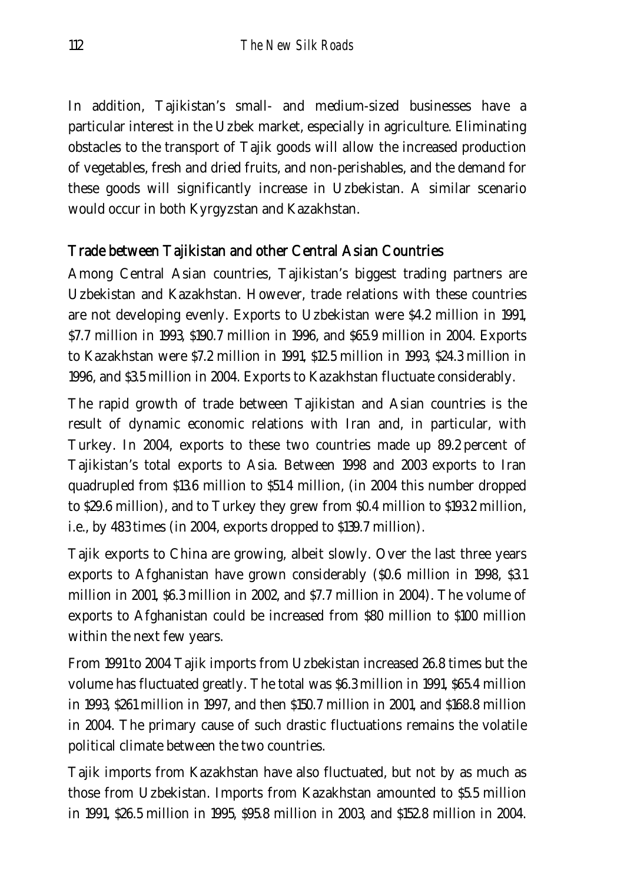In addition, Tajikistan's small- and medium-sized businesses have a particular interest in the Uzbek market, especially in agriculture. Eliminating obstacles to the transport of Tajik goods will allow the increased production of vegetables, fresh and dried fruits, and non-perishables, and the demand for these goods will significantly increase in Uzbekistan. A similar scenario would occur in both Kyrgyzstan and Kazakhstan.

#### Trade between Tajikistan and other Central Asian Countries

Among Central Asian countries, Tajikistan's biggest trading partners are Uzbekistan and Kazakhstan. However, trade relations with these countries are not developing evenly. Exports to Uzbekistan were \$4.2 million in 1991, \$7.7 million in 1993, \$190.7 million in 1996, and \$65.9 million in 2004. Exports to Kazakhstan were \$7.2 million in 1991, \$12.5 million in 1993, \$24.3 million in 1996, and \$3.5 million in 2004. Exports to Kazakhstan fluctuate considerably.

The rapid growth of trade between Tajikistan and Asian countries is the result of dynamic economic relations with Iran and, in particular, with Turkey. In 2004, exports to these two countries made up 89.2 percent of Tajikistan's total exports to Asia. Between 1998 and 2003 exports to Iran quadrupled from \$13.6 million to \$51.4 million, (in 2004 this number dropped to \$29.6 million), and to Turkey they grew from \$0.4 million to \$193.2 million, i.e., by 483 times (in 2004, exports dropped to \$139.7 million).

Tajik exports to China are growing, albeit slowly. Over the last three years exports to Afghanistan have grown considerably (\$0.6 million in 1998, \$3.1 million in 2001, \$6.3 million in 2002, and \$7.7 million in 2004). The volume of exports to Afghanistan could be increased from \$80 million to \$100 million within the next few years.

From 1991 to 2004 Tajik imports from Uzbekistan increased 26.8 times but the volume has fluctuated greatly. The total was \$6.3 million in 1991, \$65.4 million in 1993, \$261 million in 1997, and then \$150.7 million in 2001, and \$168.8 million in 2004. The primary cause of such drastic fluctuations remains the volatile political climate between the two countries.

Tajik imports from Kazakhstan have also fluctuated, but not by as much as those from Uzbekistan. Imports from Kazakhstan amounted to \$5.5 million in 1991, \$26.5 million in 1995, \$95.8 million in 2003, and \$152.8 million in 2004.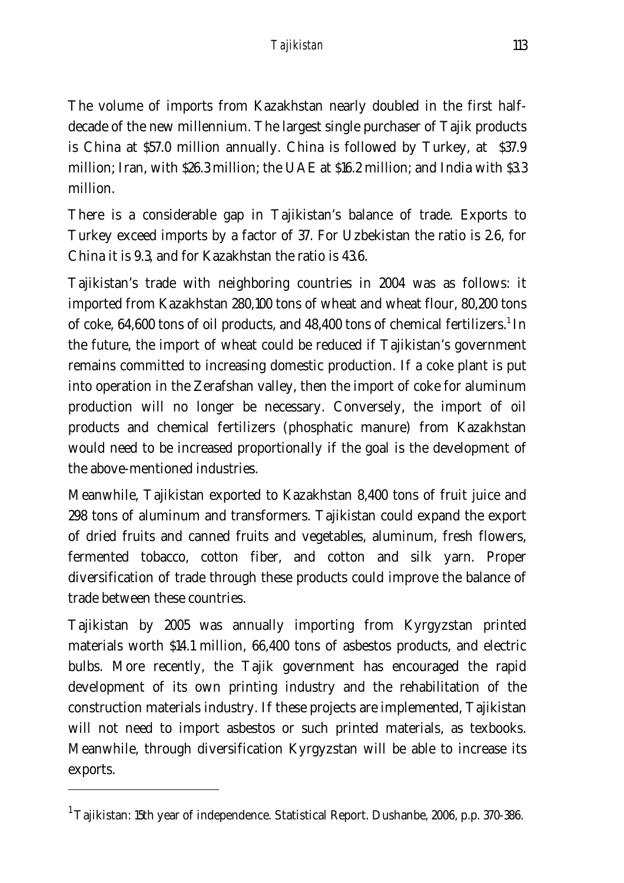The volume of imports from Kazakhstan nearly doubled in the first halfdecade of the new millennium. The largest single purchaser of Tajik products is China at \$57.0 million annually. China is followed by Turkey, at \$37.9 million; Iran, with \$26.3 million; the UAE at \$16.2 million; and India with \$3.3 million.

There is a considerable gap in Tajikistan's balance of trade. Exports to Turkey exceed imports by a factor of 37. For Uzbekistan the ratio is 2.6, for China it is 9.3, and for Kazakhstan the ratio is 43.6.

Tajikistan's trade with neighboring countries in 2004 was as follows: it imported from Kazakhstan 280,100 tons of wheat and wheat flour, 80,200 tons of coke, 64,600 tons of oil products, and 48,400 tons of chemical fertilizers. $^1$  In the future, the import of wheat could be reduced if Tajikistan's government remains committed to increasing domestic production. If a coke plant is put into operation in the Zerafshan valley, then the import of coke for aluminum production will no longer be necessary. Conversely, the import of oil products and chemical fertilizers (phosphatic manure) from Kazakhstan would need to be increased proportionally if the goal is the development of the above-mentioned industries.

Meanwhile, Tajikistan exported to Kazakhstan 8,400 tons of fruit juice and 298 tons of aluminum and transformers. Tajikistan could expand the export of dried fruits and canned fruits and vegetables, aluminum, fresh flowers, fermented tobacco, cotton fiber, and cotton and silk yarn. Proper diversification of trade through these products could improve the balance of trade between these countries.

Tajikistan by 2005 was annually importing from Kyrgyzstan printed materials worth \$14.1 million, 66,400 tons of asbestos products, and electric bulbs. More recently, the Tajik government has encouraged the rapid development of its own printing industry and the rehabilitation of the construction materials industry. If these projects are implemented, Tajikistan will not need to import asbestos or such printed materials, as texbooks. Meanwhile, through diversification Kyrgyzstan will be able to increase its exports.

 $\overline{a}$ 

 $^{\rm 1}$  Tajikistan: 15th year of independence. Statistical Report. Dushanbe, 2006, p.p. 370-386.  $\,$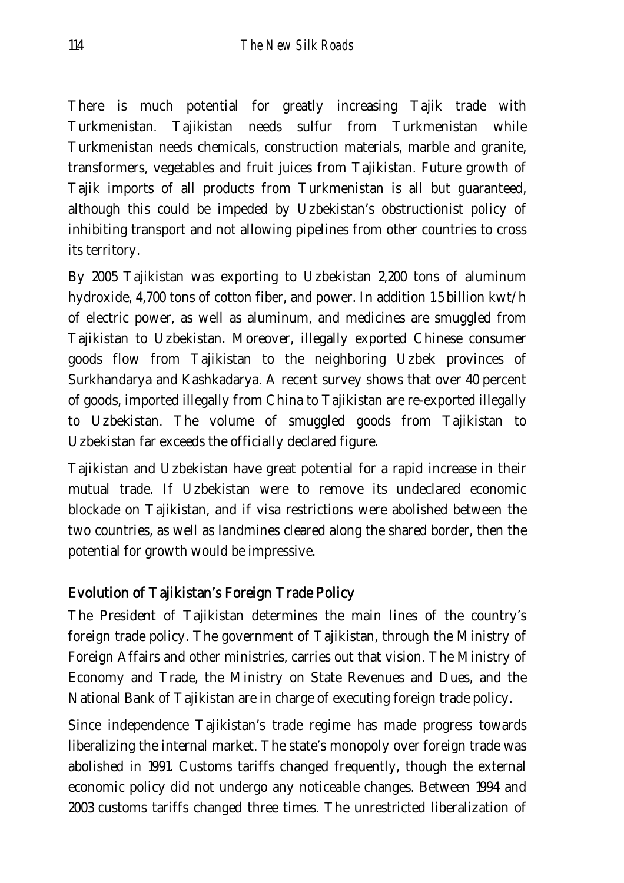There is much potential for greatly increasing Tajik trade with Turkmenistan. Tajikistan needs sulfur from Turkmenistan while Turkmenistan needs chemicals, construction materials, marble and granite, transformers, vegetables and fruit juices from Tajikistan. Future growth of Tajik imports of all products from Turkmenistan is all but guaranteed, although this could be impeded by Uzbekistan's obstructionist policy of inhibiting transport and not allowing pipelines from other countries to cross its territory.

By 2005 Tajikistan was exporting to Uzbekistan 2,200 tons of aluminum hydroxide, 4,700 tons of cotton fiber, and power. In addition 1.5 billion kwt/h of electric power, as well as aluminum, and medicines are smuggled from Tajikistan to Uzbekistan. Moreover, illegally exported Chinese consumer goods flow from Tajikistan to the neighboring Uzbek provinces of Surkhandarya and Kashkadarya. A recent survey shows that over 40 percent of goods, imported illegally from China to Tajikistan are re-exported illegally to Uzbekistan. The volume of smuggled goods from Tajikistan to Uzbekistan far exceeds the officially declared figure.

Tajikistan and Uzbekistan have great potential for a rapid increase in their mutual trade. If Uzbekistan were to remove its undeclared economic blockade on Tajikistan, and if visa restrictions were abolished between the two countries, as well as landmines cleared along the shared border, then the potential for growth would be impressive.

### Evolution of Tajikistan's Foreign Trade Policy

The President of Tajikistan determines the main lines of the country's foreign trade policy. The government of Tajikistan, through the Ministry of Foreign Affairs and other ministries, carries out that vision. The Ministry of Economy and Trade, the Ministry on State Revenues and Dues, and the National Bank of Tajikistan are in charge of executing foreign trade policy.

Since independence Tajikistan's trade regime has made progress towards liberalizing the internal market. The state's monopoly over foreign trade was abolished in 1991. Customs tariffs changed frequently, though the external economic policy did not undergo any noticeable changes. Between 1994 and 2003 customs tariffs changed three times. The unrestricted liberalization of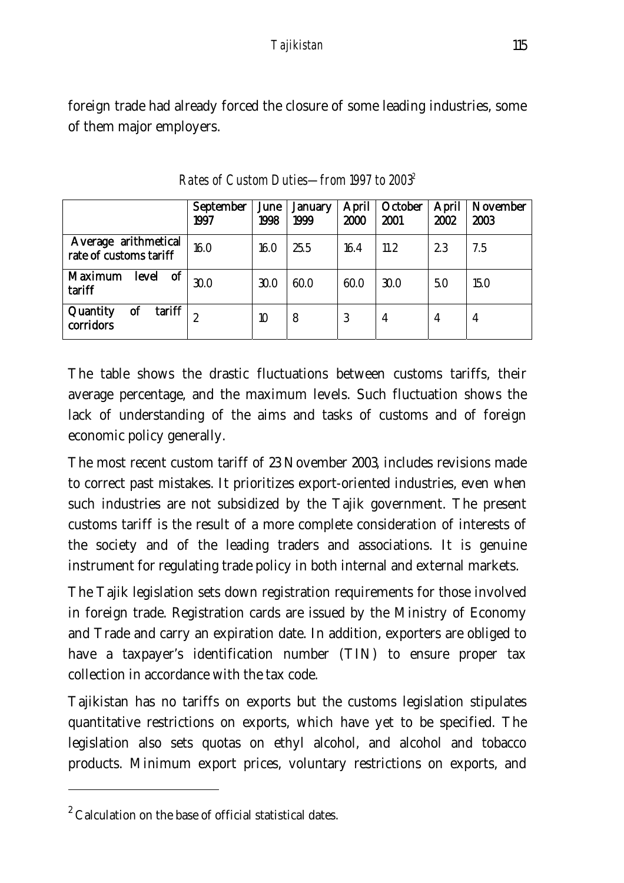foreign trade had already forced the closure of some leading industries, some of them major employers.

|                                                | <b>September</b><br>1997 | June<br>1998 | <b>January</b><br>1999 | April<br>2000 | October<br>2001 | April<br>2002 | November<br>2003 |
|------------------------------------------------|--------------------------|--------------|------------------------|---------------|-----------------|---------------|------------------|
| Average arithmetical<br>rate of customs tariff | 16.0                     | 16.0         | 25.5                   | 16.4          | 11.2            | 2.3           | 7.5              |
| of<br><b>Maximum</b><br>level<br>tariff        | 30.0                     | 30.0         | 60.0                   | 60.0          | 30.0            | 5.0           | 15.0             |
| tariff<br>of<br>Quantity<br>corridors          |                          | 10           | 8                      | 3             | 4               | 4             | 4                |

*Rates of Custom Duties—from 1997 to 2003* 

The table shows the drastic fluctuations between customs tariffs, their average percentage, and the maximum levels. Such fluctuation shows the lack of understanding of the aims and tasks of customs and of foreign economic policy generally.

The most recent custom tariff of 23 November 2003, includes revisions made to correct past mistakes. It prioritizes export-oriented industries, even when such industries are not subsidized by the Tajik government. The present customs tariff is the result of a more complete consideration of interests of the society and of the leading traders and associations. It is genuine instrument for regulating trade policy in both internal and external markets.

The Tajik legislation sets down registration requirements for those involved in foreign trade. Registration cards are issued by the Ministry of Economy and Trade and carry an expiration date. In addition, exporters are obliged to have a taxpayer's identification number (TIN) to ensure proper tax collection in accordance with the tax code.

Tajikistan has no tariffs on exports but the customs legislation stipulates quantitative restrictions on exports, which have yet to be specified. The legislation also sets quotas on ethyl alcohol, and alcohol and tobacco products. Minimum export prices, voluntary restrictions on exports, and

 $\overline{a}$ 

 $^2$  Calculation on the base of official statistical dates.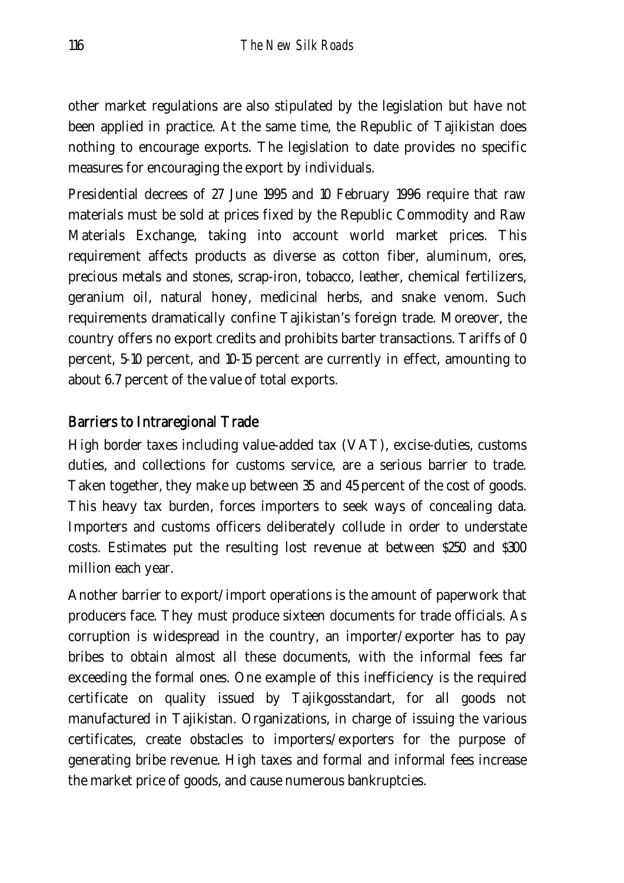other market regulations are also stipulated by the legislation but have not been applied in practice. At the same time, the Republic of Tajikistan does nothing to encourage exports. The legislation to date provides no specific measures for encouraging the export by individuals.

Presidential decrees of 27 June 1995 and 10 February 1996 require that raw materials must be sold at prices fixed by the Republic Commodity and Raw Materials Exchange, taking into account world market prices. This requirement affects products as diverse as cotton fiber, aluminum, ores, precious metals and stones, scrap-iron, tobacco, leather, chemical fertilizers, geranium oil, natural honey, medicinal herbs, and snake venom. Such requirements dramatically confine Tajikistan's foreign trade. Moreover, the country offers no export credits and prohibits barter transactions. Tariffs of 0 percent, 5-10 percent, and 10-15 percent are currently in effect, amounting to about 6.7 percent of the value of total exports.

#### Barriers to Intraregional Trade

High border taxes including value-added tax (VAT), excise-duties, customs duties, and collections for customs service, are a serious barrier to trade. Taken together, they make up between 35 and 45 percent of the cost of goods. This heavy tax burden, forces importers to seek ways of concealing data. Importers and customs officers deliberately collude in order to understate costs. Estimates put the resulting lost revenue at between \$250 and \$300 million each year.

Another barrier to export/import operations is the amount of paperwork that producers face. They must produce sixteen documents for trade officials. As corruption is widespread in the country, an importer/exporter has to pay bribes to obtain almost all these documents, with the informal fees far exceeding the formal ones. One example of this inefficiency is the required certificate on quality issued by Tajikgosstandart, for all goods not manufactured in Tajikistan. Organizations, in charge of issuing the various certificates, create obstacles to importers/exporters for the purpose of generating bribe revenue. High taxes and formal and informal fees increase the market price of goods, and cause numerous bankruptcies.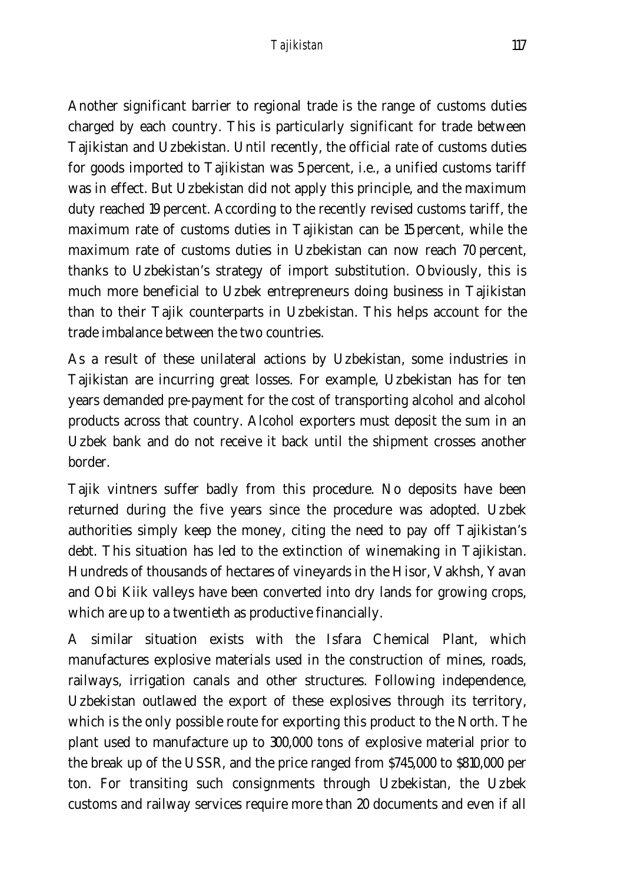Another significant barrier to regional trade is the range of customs duties charged by each country. This is particularly significant for trade between Tajikistan and Uzbekistan. Until recently, the official rate of customs duties for goods imported to Tajikistan was 5 percent, i.e., a unified customs tariff was in effect. But Uzbekistan did not apply this principle, and the maximum duty reached 19 percent. According to the recently revised customs tariff, the maximum rate of customs duties in Tajikistan can be 15 percent, while the maximum rate of customs duties in Uzbekistan can now reach 70 percent, thanks to Uzbekistan's strategy of import substitution. Obviously, this is much more beneficial to Uzbek entrepreneurs doing business in Tajikistan than to their Tajik counterparts in Uzbekistan. This helps account for the trade imbalance between the two countries.

As a result of these unilateral actions by Uzbekistan, some industries in Tajikistan are incurring great losses. For example, Uzbekistan has for ten years demanded pre-payment for the cost of transporting alcohol and alcohol products across that country. Alcohol exporters must deposit the sum in an Uzbek bank and do not receive it back until the shipment crosses another border.

Tajik vintners suffer badly from this procedure. No deposits have been returned during the five years since the procedure was adopted. Uzbek authorities simply keep the money, citing the need to pay off Tajikistan's debt. This situation has led to the extinction of winemaking in Tajikistan. Hundreds of thousands of hectares of vineyards in the Hisor, Vakhsh, Yavan and Obi Kiik valleys have been converted into dry lands for growing crops, which are up to a twentieth as productive financially.

A similar situation exists with the Isfara Chemical Plant, which manufactures explosive materials used in the construction of mines, roads, railways, irrigation canals and other structures. Following independence, Uzbekistan outlawed the export of these explosives through its territory, which is the only possible route for exporting this product to the North. The plant used to manufacture up to 300,000 tons of explosive material prior to the break up of the USSR, and the price ranged from \$745,000 to \$810,000 per ton. For transiting such consignments through Uzbekistan, the Uzbek customs and railway services require more than 20 documents and even if all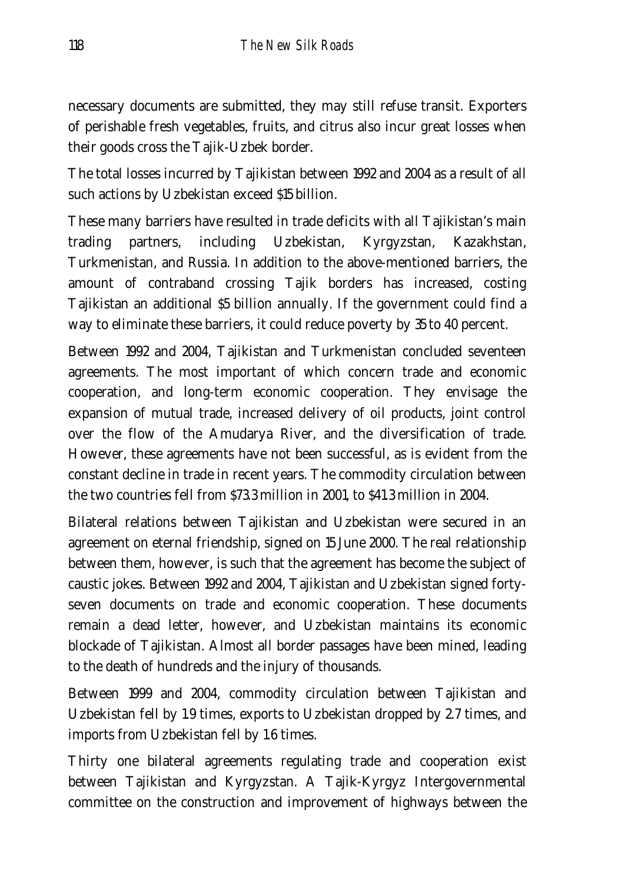necessary documents are submitted, they may still refuse transit. Exporters of perishable fresh vegetables, fruits, and citrus also incur great losses when their goods cross the Tajik-Uzbek border.

The total losses incurred by Tajikistan between 1992 and 2004 as a result of all such actions by Uzbekistan exceed \$15 billion.

These many barriers have resulted in trade deficits with all Tajikistan's main trading partners, including Uzbekistan, Kyrgyzstan, Kazakhstan, Turkmenistan, and Russia. In addition to the above-mentioned barriers, the amount of contraband crossing Tajik borders has increased, costing Tajikistan an additional \$5 billion annually. If the government could find a way to eliminate these barriers, it could reduce poverty by 35 to 40 percent.

Between 1992 and 2004, Tajikistan and Turkmenistan concluded seventeen agreements. The most important of which concern trade and economic cooperation, and long-term economic cooperation. They envisage the expansion of mutual trade, increased delivery of oil products, joint control over the flow of the Amudarya River, and the diversification of trade. However, these agreements have not been successful, as is evident from the constant decline in trade in recent years. The commodity circulation between the two countries fell from \$73.3 million in 2001, to \$41.3 million in 2004.

Bilateral relations between Tajikistan and Uzbekistan were secured in an agreement on eternal friendship, signed on 15 June 2000. The real relationship between them, however, is such that the agreement has become the subject of caustic jokes. Between 1992 and 2004, Tajikistan and Uzbekistan signed fortyseven documents on trade and economic cooperation. These documents remain a dead letter, however, and Uzbekistan maintains its economic blockade of Tajikistan. Almost all border passages have been mined, leading to the death of hundreds and the injury of thousands.

Between 1999 and 2004, commodity circulation between Tajikistan and Uzbekistan fell by 1.9 times, exports to Uzbekistan dropped by 2.7 times, and imports from Uzbekistan fell by 1.6 times.

Thirty one bilateral agreements regulating trade and cooperation exist between Tajikistan and Kyrgyzstan. A Tajik-Kyrgyz Intergovernmental committee on the construction and improvement of highways between the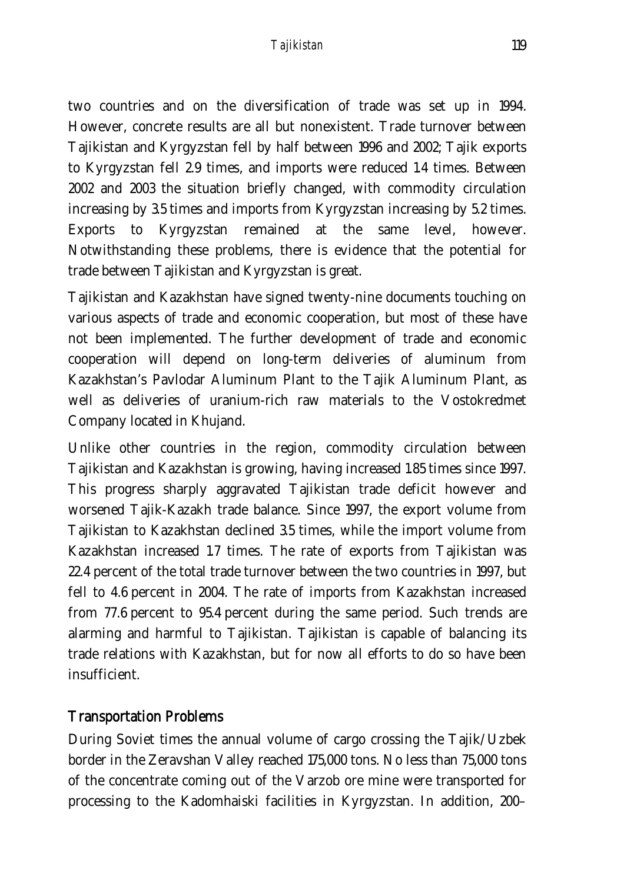two countries and on the diversification of trade was set up in 1994. However, concrete results are all but nonexistent. Trade turnover between Tajikistan and Kyrgyzstan fell by half between 1996 and 2002; Tajik exports to Kyrgyzstan fell 2.9 times, and imports were reduced 1.4 times. Between 2002 and 2003 the situation briefly changed, with commodity circulation increasing by 3.5 times and imports from Kyrgyzstan increasing by 5.2 times. Exports to Kyrgyzstan remained at the same level, however. Notwithstanding these problems, there is evidence that the potential for trade between Tajikistan and Kyrgyzstan is great.

Tajikistan and Kazakhstan have signed twenty-nine documents touching on various aspects of trade and economic cooperation, but most of these have not been implemented. The further development of trade and economic cooperation will depend on long-term deliveries of aluminum from Kazakhstan's Pavlodar Aluminum Plant to the Tajik Aluminum Plant, as well as deliveries of uranium-rich raw materials to the Vostokredmet Company located in Khujand.

Unlike other countries in the region, commodity circulation between Tajikistan and Kazakhstan is growing, having increased 1.85 times since 1997. This progress sharply aggravated Tajikistan trade deficit however and worsened Tajik-Kazakh trade balance. Since 1997, the export volume from Tajikistan to Kazakhstan declined 3.5 times, while the import volume from Kazakhstan increased 1.7 times. The rate of exports from Tajikistan was 22.4 percent of the total trade turnover between the two countries in 1997, but fell to 4.6 percent in 2004. The rate of imports from Kazakhstan increased from 77.6 percent to 95.4 percent during the same period. Such trends are alarming and harmful to Tajikistan. Tajikistan is capable of balancing its trade relations with Kazakhstan, but for now all efforts to do so have been insufficient.

#### Transportation Problems

During Soviet times the annual volume of cargo crossing the Tajik/Uzbek border in the Zeravshan Valley reached 175,000 tons. No less than 75,000 tons of the concentrate coming out of the Varzob ore mine were transported for processing to the Kadomhaiski facilities in Kyrgyzstan. In addition, 200–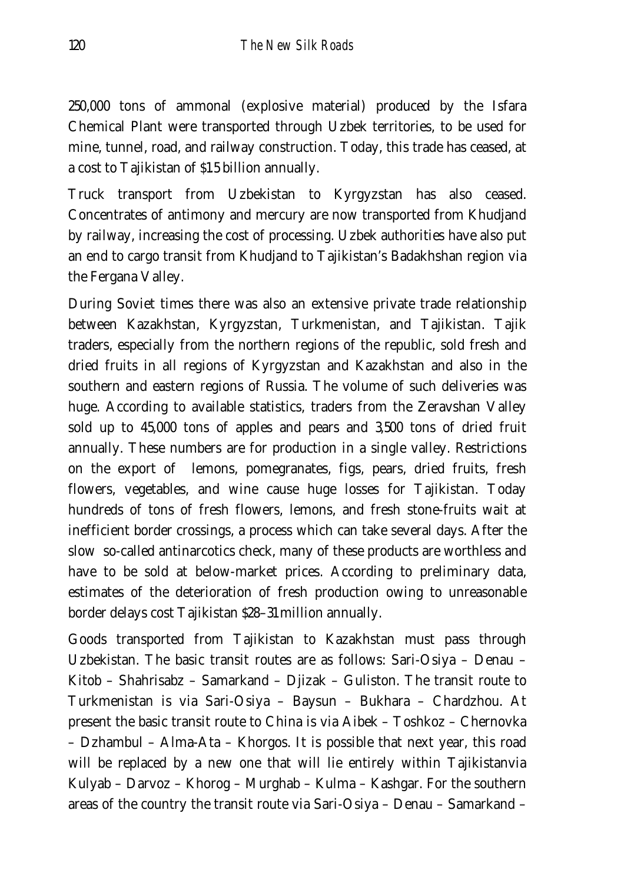250,000 tons of ammonal (explosive material) produced by the Isfara Chemical Plant were transported through Uzbek territories, to be used for mine, tunnel, road, and railway construction. Today, this trade has ceased, at a cost to Tajikistan of \$1.5 billion annually.

Truck transport from Uzbekistan to Kyrgyzstan has also ceased. Concentrates of antimony and mercury are now transported from Khudjand by railway, increasing the cost of processing. Uzbek authorities have also put an end to cargo transit from Khudjand to Tajikistan's Badakhshan region via the Fergana Valley.

During Soviet times there was also an extensive private trade relationship between Kazakhstan, Kyrgyzstan, Turkmenistan, and Tajikistan. Tajik traders, especially from the northern regions of the republic, sold fresh and dried fruits in all regions of Kyrgyzstan and Kazakhstan and also in the southern and eastern regions of Russia. The volume of such deliveries was huge. According to available statistics, traders from the Zeravshan Valley sold up to 45,000 tons of apples and pears and 3,500 tons of dried fruit annually. These numbers are for production in a single valley. Restrictions on the export of lemons, pomegranates, figs, pears, dried fruits, fresh flowers, vegetables, and wine cause huge losses for Tajikistan. Today hundreds of tons of fresh flowers, lemons, and fresh stone-fruits wait at inefficient border crossings, a process which can take several days. After the slow so-called antinarcotics check, many of these products are worthless and have to be sold at below-market prices. According to preliminary data, estimates of the deterioration of fresh production owing to unreasonable border delays cost Tajikistan \$28–31 million annually.

Goods transported from Tajikistan to Kazakhstan must pass through Uzbekistan. The basic transit routes are as follows: Sari-Osiya – Denau – Kitob – Shahrisabz – Samarkand – Djizak – Guliston. The transit route to Turkmenistan is via Sari-Osiya – Baysun – Bukhara – Chardzhou. At present the basic transit route to China is via Aibek – Toshkoz – Chernovka – Dzhambul – Alma-Ata – Khorgos. It is possible that next year, this road will be replaced by a new one that will lie entirely within Tajikistanvia Kulyab – Darvoz – Khorog – Murghab – Kulma – Kashgar. For the southern areas of the country the transit route via Sari-Osiya – Denau – Samarkand –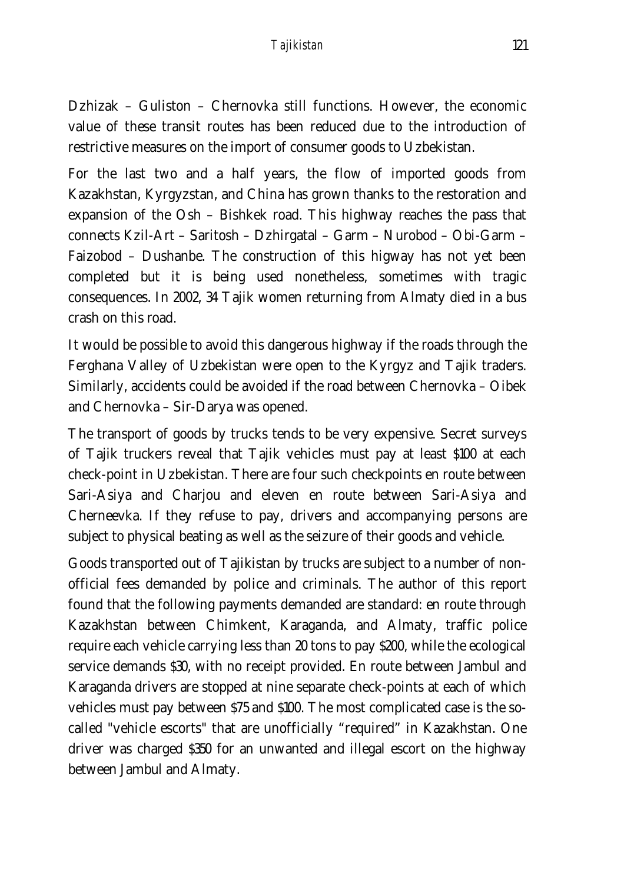Dzhizak – Guliston – Chernovka still functions. However, the economic value of these transit routes has been reduced due to the introduction of restrictive measures on the import of consumer goods to Uzbekistan.

For the last two and a half years, the flow of imported goods from Kazakhstan, Kyrgyzstan, and China has grown thanks to the restoration and expansion of the Osh – Bishkek road. This highway reaches the pass that connects Kzil-Art – Saritosh – Dzhirgatal – Garm – Nurobod – Obi-Garm – Faizobod – Dushanbe. The construction of this higway has not yet been completed but it is being used nonetheless, sometimes with tragic consequences. In 2002, 34 Tajik women returning from Almaty died in a bus crash on this road.

It would be possible to avoid this dangerous highway if the roads through the Ferghana Valley of Uzbekistan were open to the Kyrgyz and Tajik traders. Similarly, accidents could be avoided if the road between Chernovka – Oibek and Chernovka – Sir-Darya was opened.

The transport of goods by trucks tends to be very expensive. Secret surveys of Tajik truckers reveal that Tajik vehicles must pay at least \$100 at each check-point in Uzbekistan. There are four such checkpoints en route between Sari-Asiya and Charjou and eleven en route between Sari-Asiya and Cherneevka. If they refuse to pay, drivers and accompanying persons are subject to physical beating as well as the seizure of their goods and vehicle.

Goods transported out of Tajikistan by trucks are subject to a number of nonofficial fees demanded by police and criminals. The author of this report found that the following payments demanded are standard: en route through Kazakhstan between Chimkent, Karaganda, and Almaty, traffic police require each vehicle carrying less than 20 tons to pay \$200, while the ecological service demands \$30, with no receipt provided. En route between Jambul and Karaganda drivers are stopped at nine separate check-points at each of which vehicles must pay between \$75 and \$100. The most complicated case is the socalled "vehicle escorts" that are unofficially "required" in Kazakhstan. One driver was charged \$350 for an unwanted and illegal escort on the highway between Jambul and Almaty.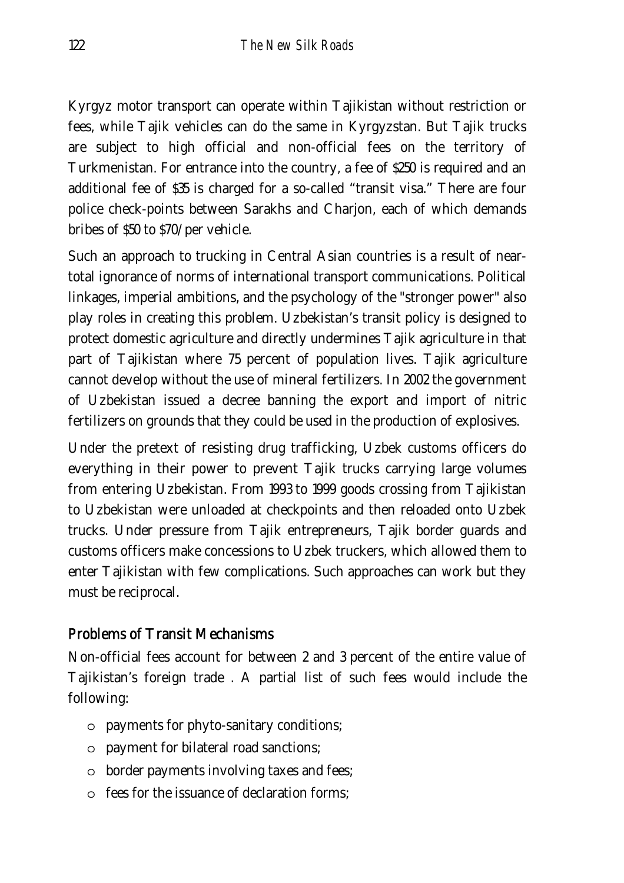Kyrgyz motor transport can operate within Tajikistan without restriction or fees, while Tajik vehicles can do the same in Kyrgyzstan. But Tajik trucks are subject to high official and non-official fees on the territory of Turkmenistan. For entrance into the country, a fee of \$250 is required and an additional fee of \$35 is charged for a so-called "transit visa." There are four police check-points between Sarakhs and Charjon, each of which demands bribes of \$50 to \$70/per vehicle.

Such an approach to trucking in Central Asian countries is a result of neartotal ignorance of norms of international transport communications. Political linkages, imperial ambitions, and the psychology of the "stronger power" also play roles in creating this problem. Uzbekistan's transit policy is designed to protect domestic agriculture and directly undermines Tajik agriculture in that part of Tajikistan where 75 percent of population lives. Tajik agriculture cannot develop without the use of mineral fertilizers. In 2002 the government of Uzbekistan issued a decree banning the export and import of nitric fertilizers on grounds that they could be used in the production of explosives.

Under the pretext of resisting drug trafficking, Uzbek customs officers do everything in their power to prevent Tajik trucks carrying large volumes from entering Uzbekistan. From 1993 to 1999 goods crossing from Tajikistan to Uzbekistan were unloaded at checkpoints and then reloaded onto Uzbek trucks. Under pressure from Tajik entrepreneurs, Tajik border guards and customs officers make concessions to Uzbek truckers, which allowed them to enter Tajikistan with few complications. Such approaches can work but they must be reciprocal.

#### Problems of Transit Mechanisms

Non-official fees account for between 2 and 3 percent of the entire value of Tajikistan's foreign trade . A partial list of such fees would include the following:

- o payments for phyto-sanitary conditions;
- o payment for bilateral road sanctions;
- o border payments involving taxes and fees;
- o fees for the issuance of declaration forms;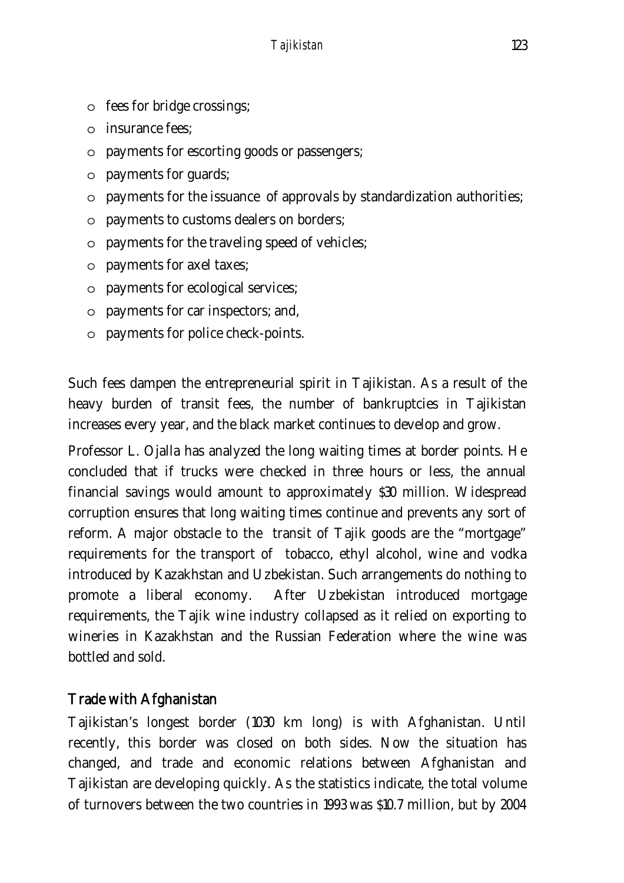- o fees for bridge crossings;
- o insurance fees;
- o payments for escorting goods or passengers;
- o payments for guards;
- o payments for the issuance of approvals by standardization authorities;
- o payments to customs dealers on borders;
- o payments for the traveling speed of vehicles;
- o payments for axel taxes;
- o payments for ecological services;
- o payments for car inspectors; and,
- o payments for police check-points.

Such fees dampen the entrepreneurial spirit in Tajikistan. As a result of the heavy burden of transit fees, the number of bankruptcies in Tajikistan increases every year, and the black market continues to develop and grow.

Professor L. Ojalla has analyzed the long waiting times at border points. He concluded that if trucks were checked in three hours or less, the annual financial savings would amount to approximately \$30 million. Widespread corruption ensures that long waiting times continue and prevents any sort of reform. A major obstacle to the transit of Tajik goods are the "mortgage" requirements for the transport of tobacco, ethyl alcohol, wine and vodka introduced by Kazakhstan and Uzbekistan. Such arrangements do nothing to promote a liberal economy. After Uzbekistan introduced mortgage requirements, the Tajik wine industry collapsed as it relied on exporting to wineries in Kazakhstan and the Russian Federation where the wine was bottled and sold.

#### Trade with Afghanistan

Tajikistan's longest border (1030 km long) is with Afghanistan. Until recently, this border was closed on both sides. Now the situation has changed, and trade and economic relations between Afghanistan and Tajikistan are developing quickly. As the statistics indicate, the total volume of turnovers between the two countries in 1993 was \$10.7 million, but by 2004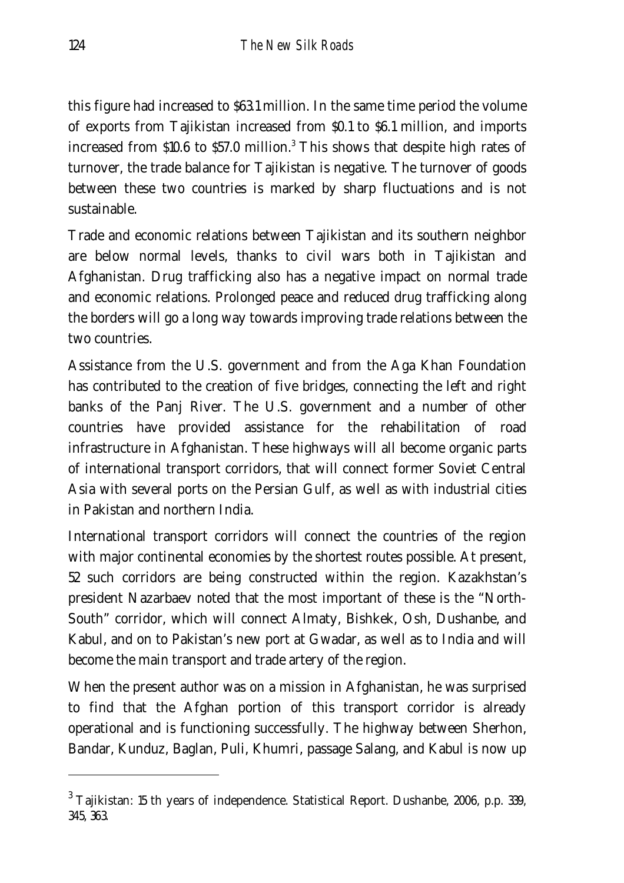this figure had increased to \$63.1 million. In the same time period the volume of exports from Tajikistan increased from \$0.1 to \$6.1 million, and imports increased from \$10.6 to \$57.0 million. $3$  This shows that despite high rates of turnover, the trade balance for Tajikistan is negative. The turnover of goods between these two countries is marked by sharp fluctuations and is not sustainable.

Trade and economic relations between Tajikistan and its southern neighbor are below normal levels, thanks to civil wars both in Tajikistan and Afghanistan. Drug trafficking also has a negative impact on normal trade and economic relations. Prolonged peace and reduced drug trafficking along the borders will go a long way towards improving trade relations between the two countries.

Assistance from the U.S. government and from the Aga Khan Foundation has contributed to the creation of five bridges, connecting the left and right banks of the Panj River. The U.S. government and a number of other countries have provided assistance for the rehabilitation of road infrastructure in Afghanistan. These highways will all become organic parts of international transport corridors, that will connect former Soviet Central Asia with several ports on the Persian Gulf, as well as with industrial cities in Pakistan and northern India.

International transport corridors will connect the countries of the region with major continental economies by the shortest routes possible. At present, 52 such corridors are being constructed within the region. Kazakhstan's president Nazarbaev noted that the most important of these is the "North-South" corridor, which will connect Almaty, Bishkek, Osh, Dushanbe, and Kabul, and on to Pakistan's new port at Gwadar, as well as to India and will become the main transport and trade artery of the region.

When the present author was on a mission in Afghanistan, he was surprised to find that the Afghan portion of this transport corridor is already operational and is functioning successfully. The highway between Sherhon, Bandar, Kunduz, Baglan, Puli, Khumri, passage Salang, and Kabul is now up

 $\overline{a}$ 

 $^3$  Tajikistan: 15 th years of independence. Statistical Report. Dushanbe, 2006, p.p. 339, 345, 363.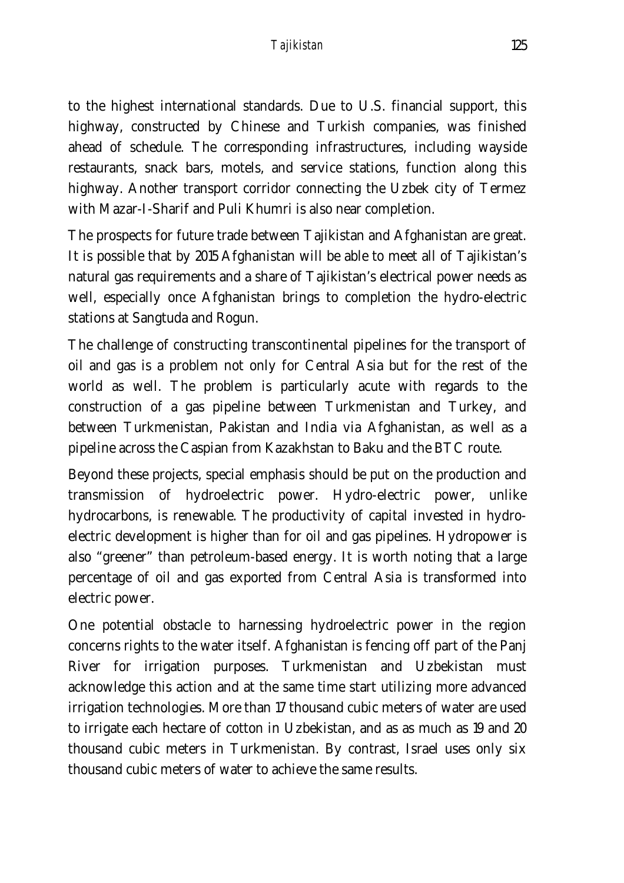to the highest international standards. Due to U.S. financial support, this highway, constructed by Chinese and Turkish companies, was finished ahead of schedule. The corresponding infrastructures, including wayside restaurants, snack bars, motels, and service stations, function along this highway. Another transport corridor connecting the Uzbek city of Termez with Mazar-I-Sharif and Puli Khumri is also near completion.

The prospects for future trade between Tajikistan and Afghanistan are great. It is possible that by 2015 Afghanistan will be able to meet all of Tajikistan's natural gas requirements and a share of Tajikistan's electrical power needs as well, especially once Afghanistan brings to completion the hydro-electric stations at Sangtuda and Rogun.

The challenge of constructing transcontinental pipelines for the transport of oil and gas is a problem not only for Central Asia but for the rest of the world as well. The problem is particularly acute with regards to the construction of a gas pipeline between Turkmenistan and Turkey, and between Turkmenistan, Pakistan and India via Afghanistan, as well as a pipeline across the Caspian from Kazakhstan to Baku and the BTC route.

Beyond these projects, special emphasis should be put on the production and transmission of hydroelectric power. Hydro-electric power, unlike hydrocarbons, is renewable. The productivity of capital invested in hydroelectric development is higher than for oil and gas pipelines. Hydropower is also "greener" than petroleum-based energy. It is worth noting that a large percentage of oil and gas exported from Central Asia is transformed into electric power.

One potential obstacle to harnessing hydroelectric power in the region concerns rights to the water itself. Afghanistan is fencing off part of the Panj River for irrigation purposes. Turkmenistan and Uzbekistan must acknowledge this action and at the same time start utilizing more advanced irrigation technologies. More than 17 thousand cubic meters of water are used to irrigate each hectare of cotton in Uzbekistan, and as as much as 19 and 20 thousand cubic meters in Turkmenistan. By contrast, Israel uses only six thousand cubic meters of water to achieve the same results.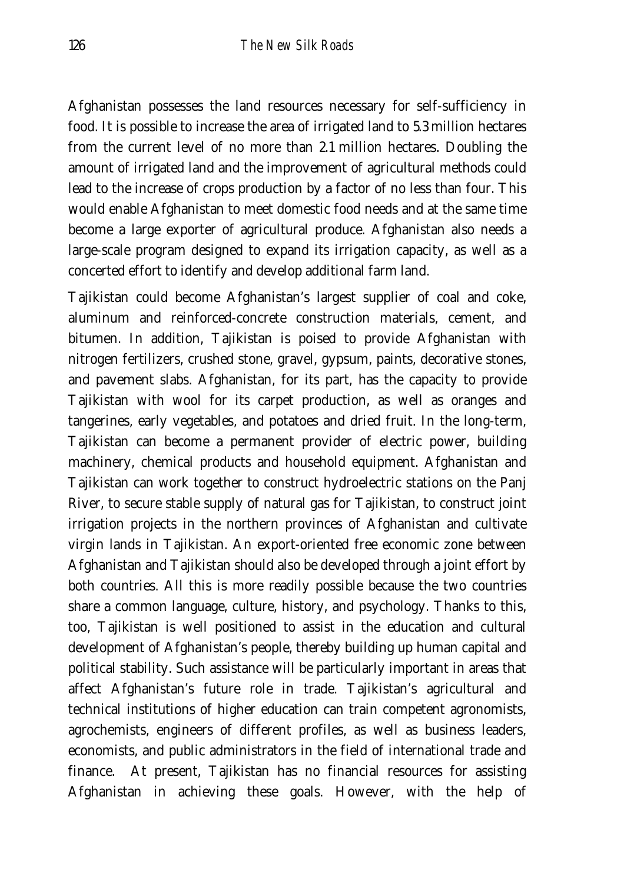Afghanistan possesses the land resources necessary for self-sufficiency in food. It is possible to increase the area of irrigated land to 5.3 million hectares from the current level of no more than 2.1 million hectares. Doubling the amount of irrigated land and the improvement of agricultural methods could lead to the increase of crops production by a factor of no less than four. This would enable Afghanistan to meet domestic food needs and at the same time become a large exporter of agricultural produce. Afghanistan also needs a large-scale program designed to expand its irrigation capacity, as well as a concerted effort to identify and develop additional farm land.

Tajikistan could become Afghanistan's largest supplier of coal and coke, aluminum and reinforced-concrete construction materials, cement, and bitumen. In addition, Tajikistan is poised to provide Afghanistan with nitrogen fertilizers, crushed stone, gravel, gypsum, paints, decorative stones, and pavement slabs. Afghanistan, for its part, has the capacity to provide Tajikistan with wool for its carpet production, as well as oranges and tangerines, early vegetables, and potatoes and dried fruit. In the long-term, Tajikistan can become a permanent provider of electric power, building machinery, chemical products and household equipment. Afghanistan and Tajikistan can work together to construct hydroelectric stations on the Panj River, to secure stable supply of natural gas for Tajikistan, to construct joint irrigation projects in the northern provinces of Afghanistan and cultivate virgin lands in Tajikistan. An export-oriented free economic zone between Afghanistan and Tajikistan should also be developed through a joint effort by both countries. All this is more readily possible because the two countries share a common language, culture, history, and psychology. Thanks to this, too, Tajikistan is well positioned to assist in the education and cultural development of Afghanistan's people, thereby building up human capital and political stability. Such assistance will be particularly important in areas that affect Afghanistan's future role in trade. Tajikistan's agricultural and technical institutions of higher education can train competent agronomists, agrochemists, engineers of different profiles, as well as business leaders, economists, and public administrators in the field of international trade and finance. At present, Tajikistan has no financial resources for assisting Afghanistan in achieving these goals. However, with the help of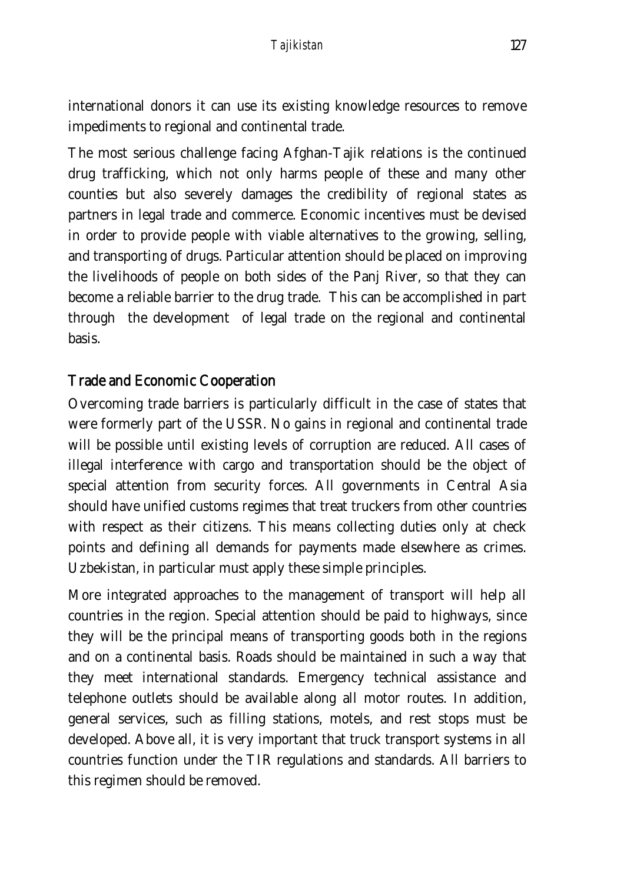international donors it can use its existing knowledge resources to remove impediments to regional and continental trade.

The most serious challenge facing Afghan-Tajik relations is the continued drug trafficking, which not only harms people of these and many other counties but also severely damages the credibility of regional states as partners in legal trade and commerce. Economic incentives must be devised in order to provide people with viable alternatives to the growing, selling, and transporting of drugs. Particular attention should be placed on improving the livelihoods of people on both sides of the Panj River, so that they can become a reliable barrier to the drug trade. This can be accomplished in part through the development of legal trade on the regional and continental basis.

### Trade and Economic Cooperation

Overcoming trade barriers is particularly difficult in the case of states that were formerly part of the USSR. No gains in regional and continental trade will be possible until existing levels of corruption are reduced. All cases of illegal interference with cargo and transportation should be the object of special attention from security forces. All governments in Central Asia should have unified customs regimes that treat truckers from other countries with respect as their citizens. This means collecting duties only at check points and defining all demands for payments made elsewhere as crimes. Uzbekistan, in particular must apply these simple principles.

More integrated approaches to the management of transport will help all countries in the region. Special attention should be paid to highways, since they will be the principal means of transporting goods both in the regions and on a continental basis. Roads should be maintained in such a way that they meet international standards. Emergency technical assistance and telephone outlets should be available along all motor routes. In addition, general services, such as filling stations, motels, and rest stops must be developed. Above all, it is very important that truck transport systems in all countries function under the TIR regulations and standards. All barriers to this regimen should be removed.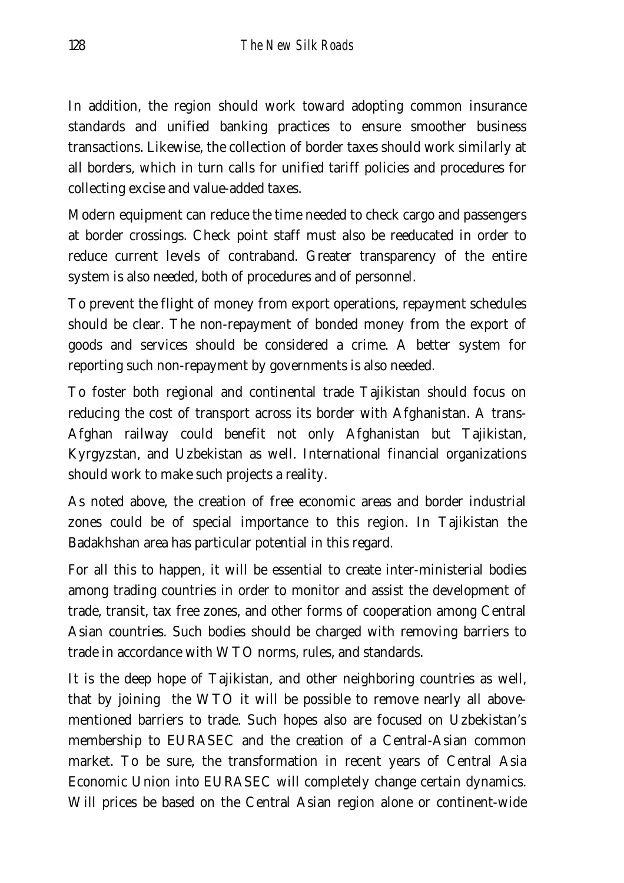In addition, the region should work toward adopting common insurance standards and unified banking practices to ensure smoother business transactions. Likewise, the collection of border taxes should work similarly at all borders, which in turn calls for unified tariff policies and procedures for collecting excise and value-added taxes.

Modern equipment can reduce the time needed to check cargo and passengers at border crossings. Check point staff must also be reeducated in order to reduce current levels of contraband. Greater transparency of the entire system is also needed, both of procedures and of personnel.

To prevent the flight of money from export operations, repayment schedules should be clear. The non-repayment of bonded money from the export of goods and services should be considered a crime. A better system for reporting such non-repayment by governments is also needed.

To foster both regional and continental trade Tajikistan should focus on reducing the cost of transport across its border with Afghanistan. A trans-Afghan railway could benefit not only Afghanistan but Tajikistan, Kyrgyzstan, and Uzbekistan as well. International financial organizations should work to make such projects a reality.

As noted above, the creation of free economic areas and border industrial zones could be of special importance to this region. In Tajikistan the Badakhshan area has particular potential in this regard.

For all this to happen, it will be essential to create inter-ministerial bodies among trading countries in order to monitor and assist the development of trade, transit, tax free zones, and other forms of cooperation among Central Asian countries. Such bodies should be charged with removing barriers to trade in accordance with WTO norms, rules, and standards.

It is the deep hope of Tajikistan, and other neighboring countries as well, that by joining the WTO it will be possible to remove nearly all abovementioned barriers to trade. Such hopes also are focused on Uzbekistan's membership to EURASEC and the creation of a Central-Asian common market. To be sure, the transformation in recent years of Central Asia Economic Union into EURASEC will completely change certain dynamics. Will prices be based on the Central Asian region alone or continent-wide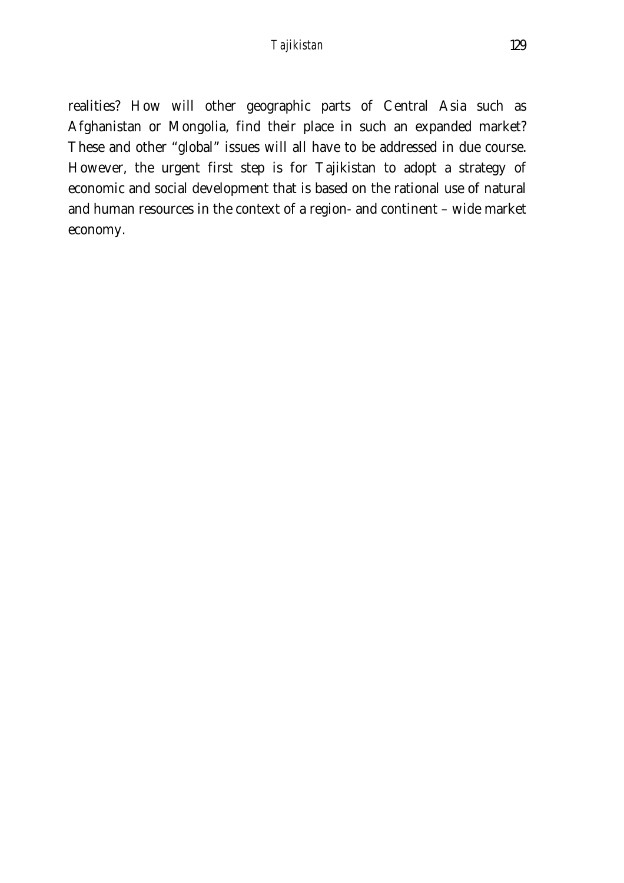realities? How will other geographic parts of Central Asia such as Afghanistan or Mongolia, find their place in such an expanded market? These and other "global" issues will all have to be addressed in due course. However, the urgent first step is for Tajikistan to adopt a strategy of economic and social development that is based on the rational use of natural and human resources in the context of a region- and continent – wide market economy.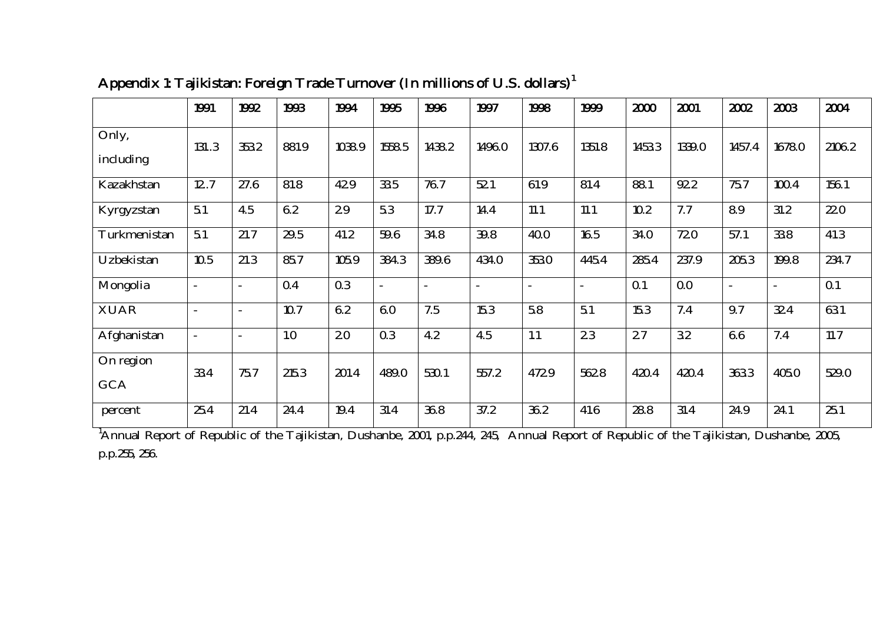|                         | 1991                     | 1992                     | 1993  | 1994   | 1995           | 1996   | 1997   | 1998   | 1999   | 2000   | 2001   | 2002           | 2003   | 2004   |
|-------------------------|--------------------------|--------------------------|-------|--------|----------------|--------|--------|--------|--------|--------|--------|----------------|--------|--------|
| Only,<br>including      | 1313                     | 353.2                    | 881.9 | 1038.9 | 1558.5         | 1438.2 | 1496.0 | 1307.6 | 1351.8 | 1453.3 | 1339.0 | 1457.4         | 1678.0 | 2106.2 |
| Kazakhstan              | 12.7                     | 27.6                     | 81.8  | 42.9   | 33.5           | 76.7   | 52.1   | 61.9   | 81.4   | 88.1   | 92.2   | 75.7           | 100.4  | 156.1  |
| Kyrgyzstan              | 5.1                      | 4.5                      | 6.2   | 2.9    | 5.3            | 17.7   | 14.4   | 11.1   | 11.1   | 10.2   | 7.7    | 8.9            | 31.2   | 22.0   |
| Turkmenistan            | 5.1                      | 21.7                     | 29.5  | 41.2   | 59.6           | 34.8   | 39.8   | 40.0   | 16.5   | 34.0   | 72.0   | 57.1           | 33.8   | 41.3   |
| Uzbekistan              | 10.5                     | 21.3                     | 85.7  | 105.9  | 384.3          | 389.6  | 434.0  | 353.0  | 445.4  | 285.4  | 237.9  | 205.3          | 199.8  | 234.7  |
| Mongolia                |                          |                          | 0.4   | 0.3    | $\blacksquare$ |        |        |        |        | 0.1    | 0.0    | $\blacksquare$ |        | 0.1    |
| <b>XUAR</b>             |                          |                          | 10.7  | 6.2    | 6.0            | 7.5    | 15.3   | 5.8    | 5.1    | 15.3   | 7.4    | 9.7            | 32.4   | 63.1   |
| Afghanistan             | $\overline{\phantom{a}}$ | $\overline{\phantom{0}}$ | 1.0   | 2.0    | 0.3            | 4.2    | 4.5    | 1.1    | 2.3    | 2.7    | 3.2    | 6.6            | 7.4    | 11.7   |
| On region<br><b>GCA</b> | 33.4                     | 75.7                     | 215.3 | 201.4  | 489.0          | 530.1  | 557.2  | 472.9  | 562.8  | 420.4  | 420.4  | 363.3          | 405.0  | 529.0  |
| percent                 | 25.4                     | 21.4                     | 24.4  | 19.4   | 31.4           | 36.8   | 37.2   | 36.2   | 41.6   | 28.8   | 31.4   | 24.9           | 24.1   | 25.1   |

# Appendix 1: Tajikistan: Foreign Trade Turnover (In millions of U.S. dollars)<sup>1</sup>

<sup>1</sup>Annual Report of Republic of the Tajikistan, Dushanbe, 2001, p.p.244, 245, Annual Report of Republic of the Tajikistan, Dushanbe, 2005, p.p.255, 256.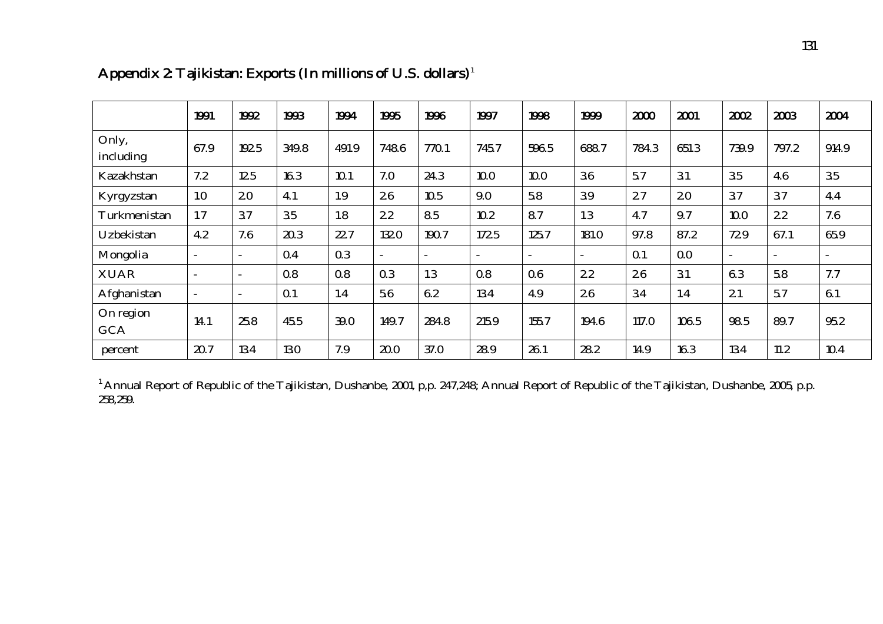|                         | 1991 | 1992                     | 1993  | 1994  | 1995  | 1996  | 1997  | 1998  | 1999  | 2000  | 2001  | 2002                     | 2003  | 2004  |
|-------------------------|------|--------------------------|-------|-------|-------|-------|-------|-------|-------|-------|-------|--------------------------|-------|-------|
| Only,<br>including      | 67.9 | 192.5                    | 349.8 | 491.9 | 748.6 | 770.1 | 745.7 | 596.5 | 688.7 | 784.3 | 651.3 | 739.9                    | 797.2 | 914.9 |
| Kazakhstan              | 7.2  | 12.5                     | 16.3  | 10.1  | 7.0   | 24.3  | 10.0  | 10.0  | 3.6   | 5.7   | 3.1   | 3.5                      | 4.6   | 3.5   |
| Kyrgyzstan              | 1.0  | 2.0                      | 4.1   | 1.9   | 2.6   | 10.5  | 9.0   | 5.8   | 3.9   | 2.7   | 2.0   | 3.7                      | 3.7   | 4.4   |
| Turkmenistan            | 1.7  | 3.7                      | 3.5   | 1.8   | 2.2   | 8.5   | 10.2  | 8.7   | 1.3   | 4.7   | 9.7   | 10.0                     | 2.2   | 7.6   |
| Uzbekistan              | 4.2  | 7.6                      | 20.3  | 22.7  | 132.0 | 190.7 | 172.5 | 125.7 | 181.0 | 97.8  | 87.2  | 72.9                     | 67.1  | 65.9  |
| Mongolia                |      | $\overline{\phantom{a}}$ | 0.4   | 0.3   |       |       |       |       |       | 0.1   | 0.0   | $\overline{\phantom{a}}$ |       |       |
| <b>XUAR</b>             |      | $\overline{\phantom{a}}$ | 0.8   | 0.8   | 0.3   | 1.3   | 0.8   | 0.6   | 2.2   | 2.6   | 3.1   | 6.3                      | 5.8   | 7.7   |
| Afghanistan             |      | $\overline{\phantom{m}}$ | 0.1   | 1.4   | 5.6   | 6.2   | 13.4  | 4.9   | 2.6   | 3.4   | 1.4   | 2.1                      | 5.7   | 6.1   |
| On region<br><b>GCA</b> | 14.1 | 25.8                     | 45.5  | 39.0  | 149.7 | 284.8 | 215.9 | 155.7 | 194.6 | 117.0 | 106.5 | 98.5                     | 89.7  | 95.2  |
| percent                 | 20.7 | 13.4                     | 13.0  | 7.9   | 20.0  | 37.0  | 28.9  | 26.1  | 28.2  | 14.9  | 16.3  | 13.4                     | 11.2  | 10.4  |

# Appendix 2: Tajikistan: Exports (In millions of U.S. dollars)<sup>1</sup>

<sup>1</sup> Annual Report of Republic of the Tajikistan, Dushanbe, 2001, p,p. 247,248; Annual Report of Republic of the Tajikistan, Dushanbe, 2005, p.p. 258,259.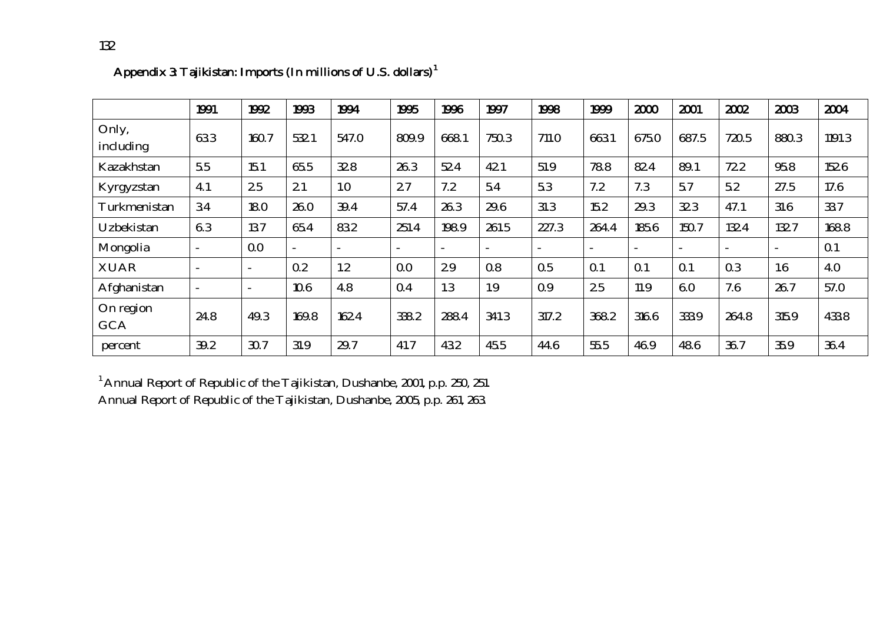|                         | 1991                     | 1992           | 1993                     | 1994  | 1995           | 1996  | 1997                     | 1998                     | 1999                     | 2000                     | 2001  | 2002           | 2003  | 2004   |
|-------------------------|--------------------------|----------------|--------------------------|-------|----------------|-------|--------------------------|--------------------------|--------------------------|--------------------------|-------|----------------|-------|--------|
| Only,<br>including      | 63.3                     | 160.7          | 532.1                    | 547.0 | 809.9          | 668.1 | 750.3                    | 711.0                    | 663.1                    | 675.0                    | 687.5 | 720.5          | 880.3 | 1191.3 |
| Kazakhstan              | 5.5                      | 15.1           | 65.5                     | 32.8  | 26.3           | 52.4  | 42.1                     | 51.9                     | 78.8                     | 82.4                     | 89.1  | 72.2           | 95.8  | 152.6  |
| Kyrgyzstan              | 4.1                      | 2.5            | 2.1                      | 1.0   | 2.7            | 7.2   | 5.4                      | 5.3                      | 7.2                      | 7.3                      | 5.7   | 5.2            | 27.5  | 17.6   |
| Turkmenistan            | 3.4                      | 18.0           | 26.0                     | 39.4  | 57.4           | 26.3  | 29.6                     | 31.3                     | 15.2                     | 29.3                     | 32.3  | 47.1           | 31.6  | 33.7   |
| Uzbekistan              | 6.3                      | 13.7           | 65.4                     | 83.2  | 251.4          | 198.9 | 261.5                    | 227.3                    | 264.4                    | 185.6                    | 150.7 | 132.4          | 132.7 | 168.8  |
| Mongolia                | $\blacksquare$           | 0.0            | $\overline{\phantom{a}}$ |       | $\blacksquare$ |       | $\overline{\phantom{0}}$ | $\overline{\phantom{0}}$ | $\overline{\phantom{0}}$ | $\overline{\phantom{a}}$ |       | $\blacksquare$ |       | 0.1    |
| <b>XUAR</b>             | $\overline{\phantom{a}}$ | $\blacksquare$ | 0.2                      | 1.2   | 0.0            | 2.9   | 0.8                      | 0.5                      | 0.1                      | 0.1                      | 0.1   | 0.3            | 1.6   | 4.0    |
| Afghanistan             | $\overline{\phantom{a}}$ | ۰              | 10.6                     | 4.8   | 0.4            | 1.3   | 1.9                      | 0.9                      | 2.5                      | 11.9                     | 6.0   | 7.6            | 26.7  | 57.0   |
| On region<br><b>GCA</b> | 24.8                     | 49.3           | 169.8                    | 162.4 | 338.2          | 288.4 | 341.3                    | 317.2                    | 368.2                    | 316.6                    | 333.9 | 264.8          | 315.9 | 433.8  |
| percent                 | 39.2                     | 30.7           | 31.9                     | 29.7  | 41.7           | 43.2  | 45.5                     | 44.6                     | 55.5                     | 46.9                     | 48.6  | 36.7           | 35.9  | 36.4   |

Appendix 3: Tajikistan: Imports (In millions of U.S. dollars)1

<sup>1</sup> Annual Report of Republic of the Tajikistan, Dushanbe, 2001, p.p. 250, 251. Annual Report of Republic of the Tajikistan, Dushanbe, 2005, p.p. 261, 263.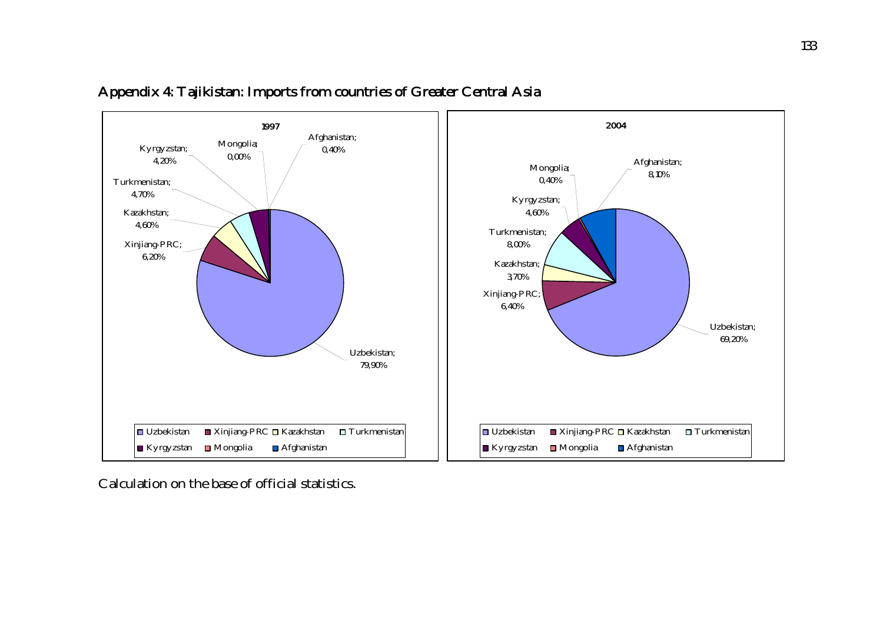

## Appendix 4: Tajikistan: Imports from countries of Greater Central Asia

Calculation on the base of official statistics.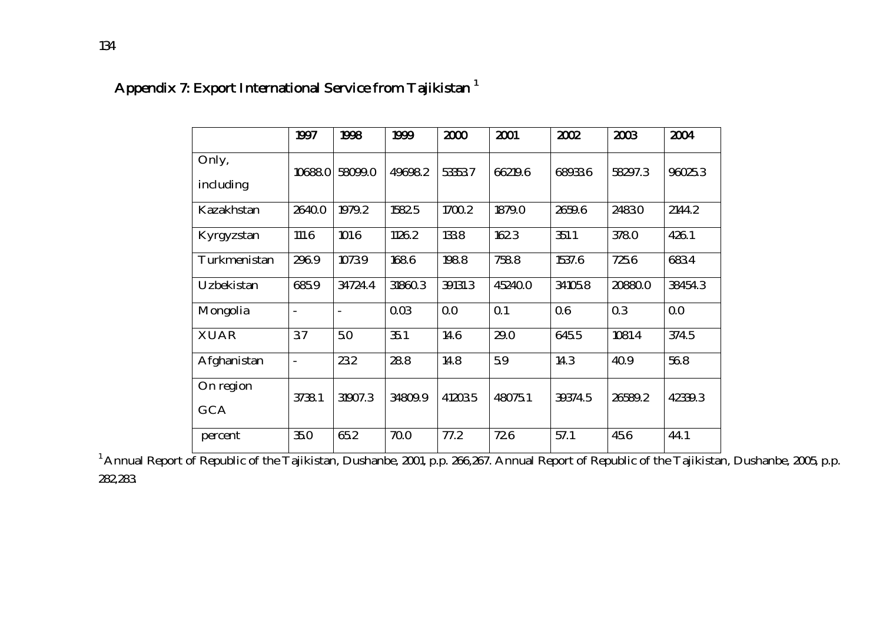|                         | 1997     | 1998    | 1999    | 2000    | 2001    | 2002    | 2003    | 2004    |
|-------------------------|----------|---------|---------|---------|---------|---------|---------|---------|
| Only,<br>including      | 10688.0  | 58099.0 | 49698.2 | 53353.7 | 66219.6 | 68933.6 | 58297.3 | 96025.3 |
| Kazakhstan              | 2640.0   | 1979.2  | 1582.5  | 1700.2  | 1879.0  | 2659.6  | 2483.0  | 2144.2  |
| Kyrgyzstan              | 111.6    | 101.6   | 1126.2  | 133.8   | 162.3   | 351.1   | 378.0   | 426.1   |
| Turkmenistan            | 296.9    | 1073.9  | 168.6   | 198.8   | 758.8   | 1537.6  | 725.6   | 683.4   |
| Uzbekistan              | 685.9    | 34724.4 | 31860.3 | 39131.3 | 45240.0 | 34105.8 | 20880.0 | 38454.3 |
| Mongolia                | $\equiv$ | L,      | 0.03    | 0.0     | 0.1     | 0.6     | 0.3     | 0.0     |
| <b>XUAR</b>             | 3.7      | 5.0     | 35.1    | 14.6    | 29.0    | 645.5   | 1081.4  | 374.5   |
| Afghanistan             | ÷,       | 23.2    | 28.8    | 14.8    | 5.9     | 14.3    | 40.9    | 56.8    |
| On region<br><b>GCA</b> | 3738.1   | 31907.3 | 34809.9 | 41203.5 | 48075.1 | 39374.5 | 26589.2 | 42339.3 |
| percent                 | 35.0     | 65.2    | 70.0    | 77.2    | 72.6    | 57.1    | 45.6    | 44.1    |

# Appendix 7: Export International Service from Tajikistan<sup>1</sup>

<sup>1</sup> Annual Report of Republic of the Tajikistan, Dushanbe, 2001, p.p. 266,267. Annual Report of Republic of the Tajikistan, Dushanbe, 2005, p.p. 282,283.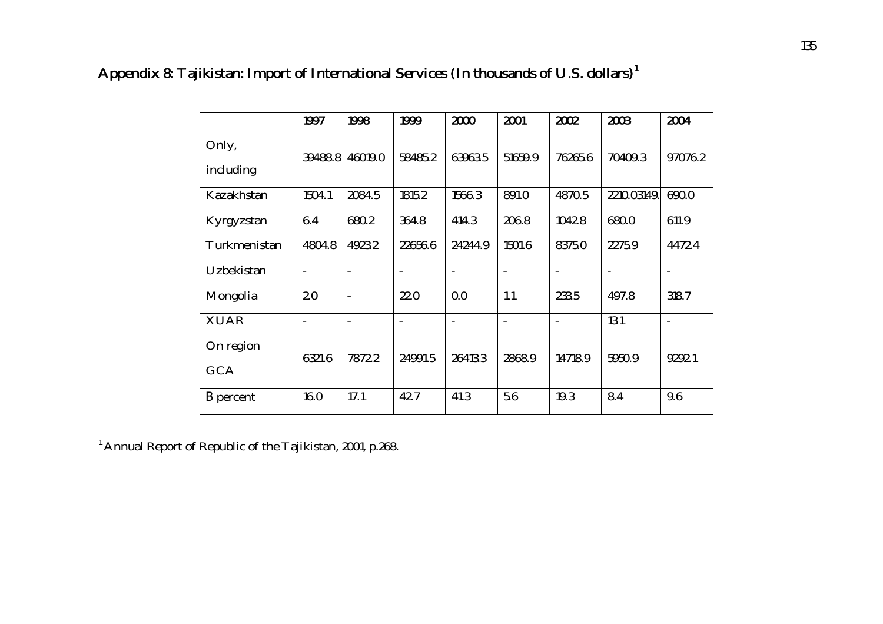| Appendix 8: Tajikistan: Import of International Services (In thousands of U.S. dollars) <sup>1</sup> |  |
|------------------------------------------------------------------------------------------------------|--|
|------------------------------------------------------------------------------------------------------|--|

|                         | 1997           | 1998           | 1999           | 2000           | 2001           | 2002           | 2003                     | 2004                     |
|-------------------------|----------------|----------------|----------------|----------------|----------------|----------------|--------------------------|--------------------------|
| Only,<br>including      | 39488.8        | 46019.0        | 58485.2        | 63963.5        | 51659.9        | 76265.6        | 70409.3                  | 97076.2                  |
| Kazakhstan              | 1504.1         | 2084.5         | 1815.2         | 1566.3         | 891.0          | 4870.5         | 2210.03149.              | 690.0                    |
| Kyrgyzstan              | 6.4            | 680.2          | 364.8          | 414.3          | 206.8          | 1042.8         | 680.0                    | 611.9                    |
| Turkmenistan            | 4804.8         | 4923.2         | 22656.6        | 24244.9        | 1501.6         | 8375.0         | 2275.9                   | 4472.4                   |
| Uzbekistan              | $\blacksquare$ | $\overline{a}$ | $\overline{a}$ | $\sim$         | $\blacksquare$ | $\overline{a}$ | $\overline{\phantom{0}}$ | $\overline{\phantom{0}}$ |
| Mongolia                | 2.0            | $\blacksquare$ | 22.0           | 0.0            | 1.1            | 233.5          | 497.8                    | 318.7                    |
| <b>XUAR</b>             | $\blacksquare$ |                |                | $\blacksquare$ | $\blacksquare$ |                | 13.1                     |                          |
| On region<br><b>GCA</b> | 6321.6         | 7872.2         | 24991.5        | 26413.3        | 2868.9         | 14718.9        | 5950.9                   | 9292.1                   |
| <b>B</b> percent        | 16.0           | 17.1           | 42.7           | 41.3           | 5.6            | 19.3           | 8.4                      | 9.6                      |

 $^{\rm 1}$  Annual Report of Republic of the Tajikistan, 2001, p.268.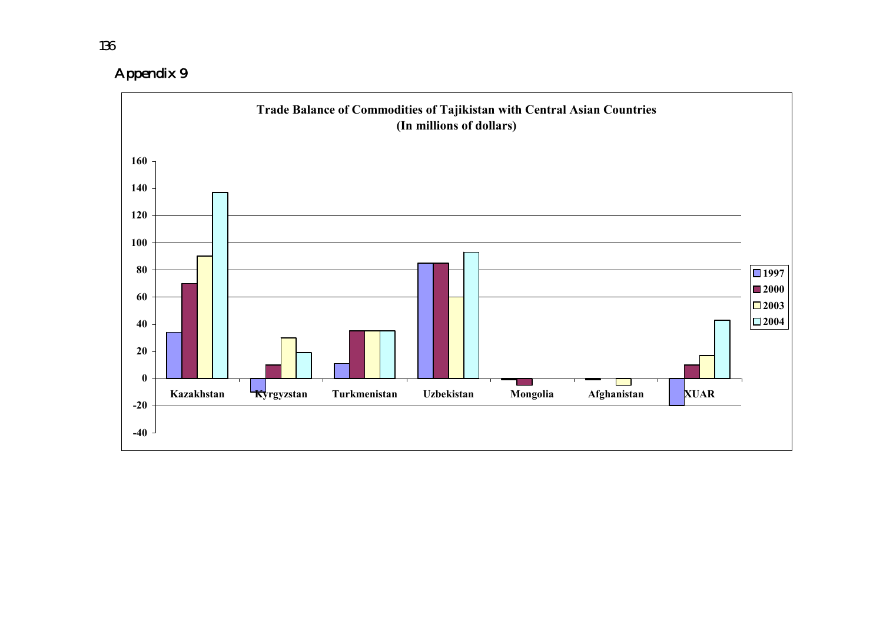## Appendix 9

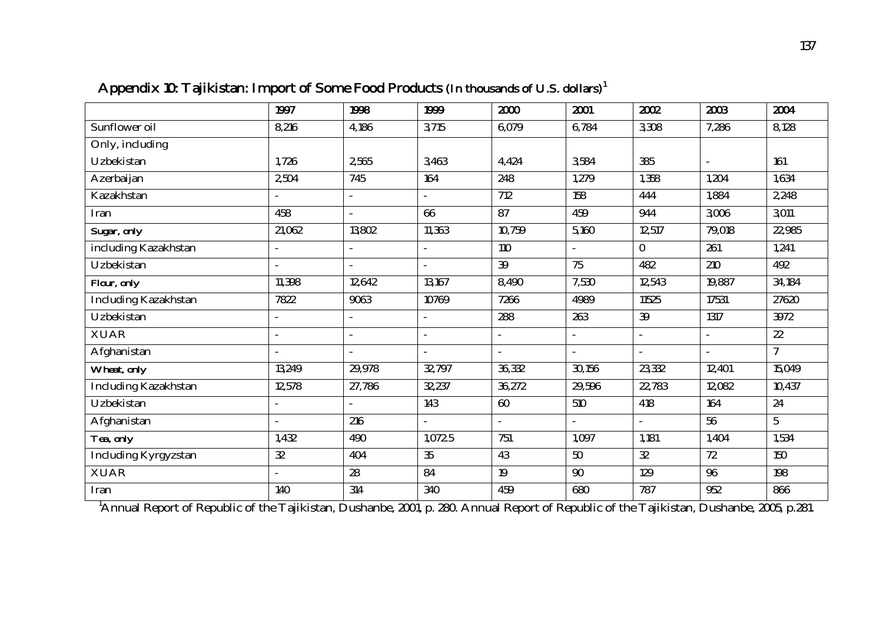|                             | 1997           | 1998                     | 1999            | 2000                     | 2001            | 2002                     | 2003                     | 2004           |
|-----------------------------|----------------|--------------------------|-----------------|--------------------------|-----------------|--------------------------|--------------------------|----------------|
| Sunflower oil               | 8,216          | 4,186                    | 3,715           | 6,079                    | 6,784           | 3,308                    | 7,286                    | 8,128          |
| Only, including             |                |                          |                 |                          |                 |                          |                          |                |
| Uzbekistan                  | 1,726          | 2,565                    | 3,463           | 4,424                    | 3,584           | 385                      | $\overline{\phantom{a}}$ | 161            |
| Azerbaijan                  | 2,504          | 745                      | 164             | 248                      | 1,279           | 1,358                    | 1,204                    | 1,634          |
| Kazakhstan                  |                |                          |                 | $\overline{712}$         | 158             | 444                      | 1,884                    | 2,248          |
| Iran                        | 458            |                          | 66              | $\overline{87}$          | 459             | 944                      | 3,006                    | 3,011          |
| Sugar, only                 | 21,062         | 13,802                   | 11,363          | 10,759                   | 5,160           | 12,517                   | 79,018                   | 22,985         |
| including Kazakhstan        |                |                          |                 | 110                      | $\overline{a}$  | $\bf{0}$                 | 261                      | 1,241          |
| <b>Uzbekistan</b>           |                |                          |                 | $\overline{39}$          | 75              | 482                      | 210                      | 492            |
| Flour, only                 | 11,398         | 12,642                   | 13,167          | 8,490                    | 7,530           | 12,543                   | 19,887                   | 34,184         |
| <b>Including Kazakhstan</b> | 7822           | 9063                     | 10769           | 7266                     | 4989            | 11525                    | 17531                    | 27620          |
| Uzbekistan                  |                |                          |                 | 288                      | 263             | 39                       | 1317                     | 3972           |
| <b>XUAR</b>                 | $\overline{a}$ | $\overline{\phantom{a}}$ |                 | $\overline{a}$           | $\overline{a}$  | $\overline{a}$           | $\overline{\phantom{a}}$ | 22             |
| Afghanistan                 |                |                          |                 | $\overline{\phantom{0}}$ | $\overline{a}$  | $\overline{\phantom{a}}$ | $\overline{\phantom{a}}$ | 7              |
| Wheat, only                 | 13,249         | 29,978                   | 32,797          | 36,332                   | 30,156          | 23,332                   | 12,401                   | 15,049         |
| <b>Including Kazakhstan</b> | 12,578         | 27,786                   | 32,237          | 36,272                   | 29,596          | 22,783                   | 12,082                   | 10,437         |
| Uzbekistan                  |                |                          | 143             | 60                       | 510             | 418                      | 164                      | 24             |
| Afghanistan                 |                | 216                      |                 |                          | $\overline{a}$  | $\overline{a}$           | 56                       | 5 <sup>5</sup> |
| Tea, only                   | 1,432          | 490                      | 1,072.5         | 751                      | 1,097           | 1,181                    | 1,404                    | 1,534          |
| <b>Including Kyrgyzstan</b> | 32             | 404                      | 35              | 43                       | 50              | 32                       | 72                       | 150            |
| <b>XUAR</b>                 |                | $\overline{28}$          | $\overline{84}$ | $\overline{19}$          | $\overline{90}$ | 129                      | 96                       | 198            |
| Iran                        | 140            | $\overline{314}$         | 340             | 459                      | 680             | 787                      | 952                      | 866            |

## Appendix 10: Tajikistan: Import of Some Food Products (In thousands of U.S. dollars)<sup>1</sup>

<sup>1</sup>Annual Report of Republic of the Tajikistan, Dushanbe, 2001, p. 280. Annual Report of Republic of the Tajikistan, Dushanbe, 2005, p.281.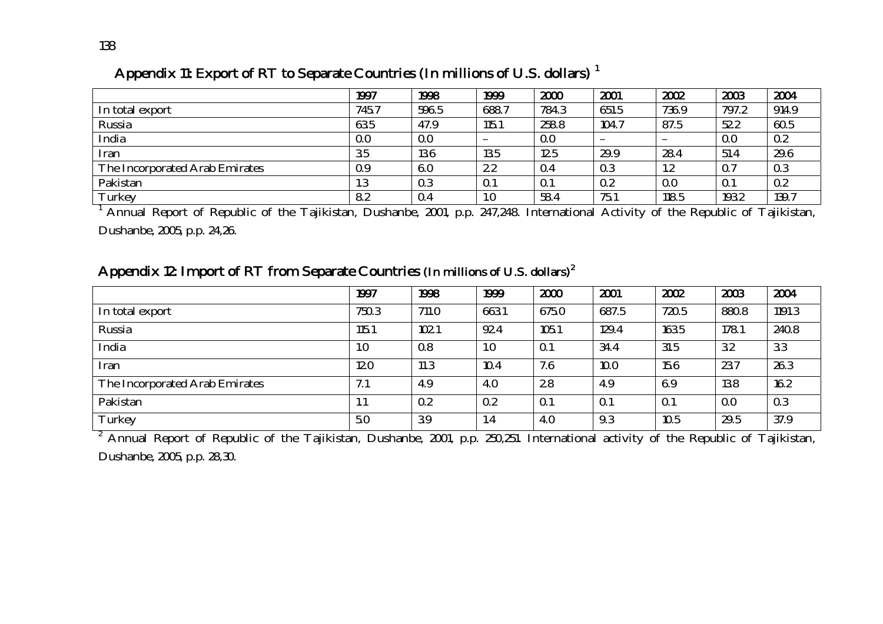## Appendix 11: Export of RT to Separate Countries (In millions of U.S. dollars)<sup>1</sup>

|                                | 1997  | 1998  | 1999  | 2000  | 2001  | 2002            | 2003    | 2004  |
|--------------------------------|-------|-------|-------|-------|-------|-----------------|---------|-------|
| In total export                | 745.7 | 596.5 | 688.7 | 784.3 | 651.5 | 736.9           | 797.2   | 914.9 |
| Russia                         | 63.5  | 47.9  | 115.1 | 258.8 | 104.7 | 87.5            | 52.2    | 60.5  |
| India                          | 0.0   | 0.0   |       | 0.0   |       |                 | 0.0     | 0.2   |
| Iran                           | 3.5   | 13.6  | 13.5  | 12.5  | 29.9  | 28.4            | 51.4    | 29.6  |
| The Incorporated Arab Emirates | 0.9   | 6.0   | 2.2   | 0.4   | 0.3   | 19<br><b>1.</b> | 0.7     | 0.3   |
| Pakistan                       | 1.3   | 0.3   | 0.1   | 0.1   | 0.2   | $0.0\,$         | $0.1\,$ | 0.2   |
| Turkey                         | 8.2   | 0.4   | 1.0   | 58.4  | 75.1  | 118.5           | 193.2   | 139.7 |

<sup>1</sup> Annual Report of Republic of the Tajikistan, Dushanbe, 2001, p.p. 247,248. International Activity of the Republic of Tajikistan, Dushanbe, 2005, p.p. 24,26.

# Appendix 12: Import of RT from Separate Countries (In millions of U.S. dollars)<sup>2</sup>

|                                | 1997  | 1998  | 1999  | 2000  | 2001  | 2002  | 2003  | 2004   |
|--------------------------------|-------|-------|-------|-------|-------|-------|-------|--------|
| In total export                | 750.3 | 711.0 | 663.1 | 675.0 | 687.5 | 720.5 | 880.8 | 1191.3 |
| Russia                         | 115.1 | 102.1 | 92.4  | 105.1 | 129.4 | 163.5 | 178.1 | 240.8  |
| India                          | 1.0   | 0.8   | 1.0   | 0.1   | 34.4  | 31.5  | 3.2   | 3.3    |
| Iran                           | 12.0  | 11.3  | 10.4  | 7.6   | 10.0  | 15.6  | 23.7  | 26.3   |
| The Incorporated Arab Emirates | 7.1   | 4.9   | 4.0   | 2.8   | 4.9   | 6.9   | 13.8  | 16.2   |
| Pakistan                       | 1.1   | 0.2   | 0.2   | 0.1   | 0.1   | 0.1   | 0.0   | 0.3    |
| Turkey                         | 5.0   | 3.9   | 1.4   | 4.0   | 9.3   | 10.5  | 29.5  | 37.9   |

<sup>2</sup> Annual Report of Republic of the Tajikistan, Dushanbe, 2001, p.p. 250,251. International activity of the Republic of Tajikistan, Dushanbe, 2005, p.p. 28,30.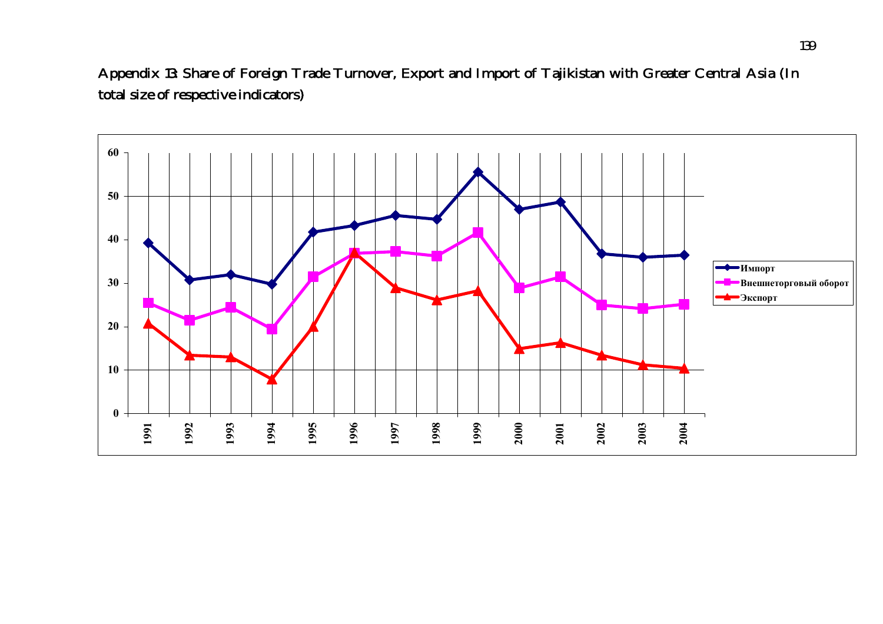Appendix 13: Share of Foreign Trade Turnover, Export and Import of Tajikistan with Greater Central Asia (In total size of respective indicators)